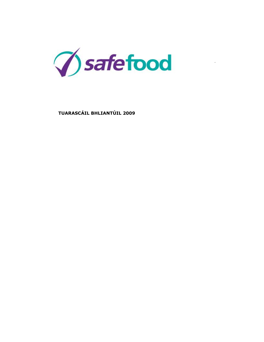

 $\ddot{\phantom{0}}$ 

 **TUARASCÁIL BHLIANTÚIL 2009**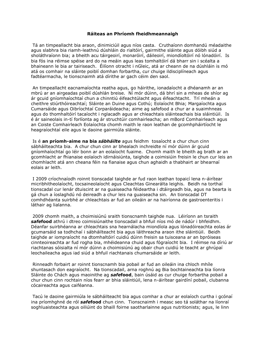### **Ráiteas an Phríomh fheidhmeannaigh**

Tá an timpeallacht bia araon, dinimiciúil agus níos casta. Cruthaíonn domhandú méadaithe agus slabhra bia riamh-leathnú dúshláin do rialtóirí, gairmithe sláinte agus dóibh siúd a sholáthraíonn bia; a bheith acu táirgeoirí, monaróirí, dáileoirí, miondíoltóirí nó lónadóirí. Is bia fós ina réimse spéise ard do na meáin agus leas tomhaltóirí dá bharr sin i scéalta a bhaineann le bia ar tairiseach. Éilíonn otracht i nGleic, atá ar cheann de na dúshláin is mó atá os comhair na sláinte poiblí domhan forbartha, cur chuige ildisciplíneach agus fadtéarmacha, le tionscnaimh atá dírithe ar gach céim den saol.

An timpeallacht eacnamaíochta reatha agus, go háirithe, ionadaíocht a dhéanamh ar an mbrú ar an airgeadas poiblí dúshlán breise. Ní mór dúinn, dá bhrí sin a mheas de shíor ag ár gcuid gníomhaíochtaí chun a chinntiú éifeachtúlacht agus éifeachtacht. Trí mheán a cheithre stiúrthóireachtaí; Sláinte an Duine agus Cothú; Eolaíocht Bhia; Margaíochta agus Cumarsáide agus Oibríochtaí Corparáideacha; aime ag safefood a chur ar a suaimhneas agus do thomhaltóirí tacaíocht i nglacadh agus ar chleachtais sláinteachais bia sláintiúil. Is é ár saineolais in-tí forlíonta ag ár struchtúir comhairleacha; an mBord Comhairleach agus an Coiste Comhairleach Eolaíochta chomh maith le raon leathan de gcomhpháirtíocht le heagraíochtaí eile agus le daoine gairmiúla sláinte.

Is é **an príomh-aime na bia** *sábháilte* agus feidhm tosaíocht a chur chun cinn sábháilteachta bia. A chur chun cinn ar bhealach inchreidte ní mór dúinn ár gcuid gníomhaíochtaí go léir bonn ar an eolaíocht fuaime. Chomh maith le bheith ag brath ar an gcomhlacht ar fhianaise eolaíoch idirnáisiúnta, taighde a coimisiúin freisin le chun cur leis an chomhlacht atá ann cheana féin na fianaise agus chun aghaidh a thabhairt ar bhearnaí eolais ar leith.

I 2009 críochnaíodh roinnt tionscadal taighde ar fud raon leathan topaicí lena n-áirítear micribhitheolaíocht, tocsaineolaíocht agus Cleachtas Ginearálta leighis. Beidh na torthaí tionscadal cur lenár dtuiscint ar na guaiseacha féideartha i dtáirgeadh bia, agus na bearta is gá chun a íoslaghdú nó deireadh a chur leis na guaiseacha sin. An tionscadal DT comhdhéanta suirbhé ar chleachtais ar fud an oileáin ar na hairíonna de gastroenteritis i láthair ag lialanna.

2009 chomh maith, a choimisiúnú sraith tionscnamh taighde nua. Léiríonn an tsraith *safe***food** athrú i dtreo coimisiúnaithe tionscadail a bhfuil níos mó de nádúr i bhfeidhm. Déanfar suirbhéanna ar chleachtais sna hearnálacha miondíola agus lónadóireachta eolas ár gcumarsáid sa todhchaí i sábháilteacht bia agus láithreacha araon ithe sláintiúil. Beidh taighde ar iompraíocht na dtomhaltóirí cuidiú dúinn freisin sa tuisceana ar an bpróiseas cinnteoireachta ar fud rogha bia, mhéideanna chuid agus fógraíocht bia. I réimse na díriú ar riachtanas sóisialta ní mór dúinn a choimisiúnú ag obair chun cuidiú le teacht ar ghrúpaí leochaileacha agus iad siúd a bhfuil riachtanais chumarsáide ar leith.

Rinneadh forbairt ar roinnt tionscnamh bia pobail ar fud an oileáin ina chloch mhíle shuntasach don eagraíocht. Na tionscadail, arna roghnú ag Bia bochtaineachta bia líonra Sláinte do Chách agus maoinithe ag *safe***food**, bain úsáid as cur chuige forbartha pobail a chur chun cinn rochtain níos fearr ar bhia sláintiúil, lena n-áirítear gairdíní pobail, clubanna cócaireachta agus caiféanna.

Tacú le daoine gairmiúla le sábháilteacht bia agus comhar a chur ar eolaíoch curtha i gcónaí ina príomhghné de ról *safe***food** chun cinn. Tionscnaimh i measc seo tá soláthar na líonraí soghluaisteachta agus oiliúint do bhaill foirne saotharlainne agus nutritionists; agus, le linn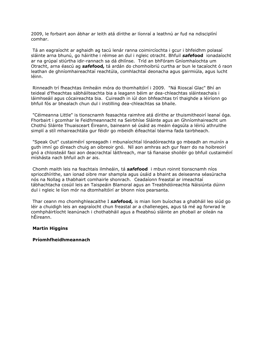2009, le forbairt aon ábhar ar leith atá dírithe ar líonraí a leathnú ar fud na ndisciplíní comhar.

Tá an eagraíocht ar aghaidh ag tacú lenár ranna coimircíochta i gcur i bhfeidhm polasaí sláinte arna bhunú, go háirithe i réimse an dul i ngleic otracht. Bhfuil *safe***food** ionadaíocht ar na grúpaí stiúrtha idir-rannach sa dá dhlínse. Tríd an bhFóram Gníomhaíochta um Otracht, arna éascú ag *safe***food***,* tá ardán do chomhoibriú curtha ar bun le tacaíocht ó raon leathan de ghníomhaireachtaí reachtúla, comhlachtaí deonacha agus gairmiúla, agus lucht léinn.

Rinneadh trí fheachtas ilmheáin móra do thomhaltóirí i 2009. "Ná Rioscaí Glac" Bhí an teideal d'fheachtas sábháilteachta bia a leagann béim ar dea-chleachtas sláinteachais i láimhseáil agus cócaireachta bia. Cuireadh in iúl don bhfeachtas trí thaighde a léiríonn go bhfuil fós ar bhealach chun dul i instilling dea-chleachtas sa bhaile.

"Céimeanna Little" is tionscnamh feasachta raimhre atá dírithe ar thuismitheoirí leanaí óga. Fhorbairt i gcomhar le Feidhmeannacht na Seirbhíse Sláinte agus an Ghníomhaireacht um Chothú Sláinte Thuaisceart Éireann, baineann sé úsáid as meáin éagsúla a léiriú athruithe simplí a stíl mhaireachtála gur féidir go mbeidh éifeachtaí téarma fada tairbheach.

"Speak Out" custaiméirí spreagadh i mbunaíochtaí lónadóireachta go mbeadh an muinín a guth imní go díreach chuig an oibreoir gnó. Níl aon amhras ach gur fearr do na hoibreoirí gnó a chloisteáil faoi aon deacrachtaí láithreach, mar tá fianaise shoiléir go bhfuil custaiméirí míshásta nach bhfuil ach ar ais.

Chomh maith leis na feachtais ilmheáin, tá *safe***food** i mbun roinnt tionscnamh níos spriocdhírithe, san ionad oibre mar shampla agus úsáid a bhaint as deiseanna séasúracha nós na Nollag a thabhairt comhairle shonrach. Ceadaíonn freastal ar imeachtaí tábhachtacha cosúil leis an Taispeáin Blamoral agus an Treabhdóireachta Náisiúnta dúinn dul i ngleic le líon mór na dtomhaltóirí ar bhonn níos pearsanta.

Thar ceann mo chomhghleacaithe I *safe***food***,* is mian liom buíochas a ghabháil leo siúd go léir a chuidigh leis an eagraíocht chun freastal ar a challeneges, agus tá mé ag forwrad le comhpháirtíocht leanúnach i chothabháil agus a fheabhsú sláinte an phobail ar oileán na hÉireann.

# **Martin Higgins**

# **Príomhfheidhmeannach**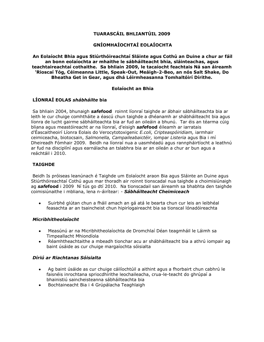# **TUARASCÁIL BHLIANTÚIL 2009**

# **GNÍOMHAÍOCHTAÍ EOLAÍOCHTA**

**An Eolaíocht Bhia agus Stiúrthóireachtaí Sláinte agus Cothú an Duine a chur ar fáil an bonn eolaíochta ar mhaithe le sábháilteacht bhia, sláinteachas, agus teachtaireachtaí cothaithe. Sa bhliain 2009, le tacaíocht feachtais Ná san áireamh 'Rioscaí Tóg, Céimeanna Little, Speak-Out, Meáigh-2-Beo, an nós Salt Shake, Do Bheatha Get in Gear, agus dhá Léirmheasanna Tomhaltóirí Dírithe.**

## **Eolaíocht an Bhia**

# **LÍONRAÍ EOLAS** *shábháilte* **bia**

Sa bhliain 2004, bhunaigh *safe***food** roinnt líonraí taighde ar ábhair sábháilteachta bia ar leith le cur chuige comhtháite a éascú chun taighde a dhéanamh ar shábháilteacht bia agus líonra de lucht gairme sábháilteachta bia ar fud an oileáin a bhunú. Tar éis an téarma cúig bliana agus meastóireacht ar na líonraí, d'eisigh *safe***food** éileamh ar iarratais d'Éascaitheoirí Líonra Eolais do Verocytotoxigenic *E.coli, Cripteaspóiridiam,* iarmhair ceimiceacha, biotocsain, *Salmonella, Campaileabaictéir,* iompar *Listeria* agus Bia i mí Dheireadh Fómhair 2009. Beidh na líonraí nua a uasmhéadú agus rannpháirtíocht a leathnú ar fud na disciplíní agus earnálacha an tslabhra bia ar an oileán a chur ar bun agus a reáchtáil i 2010.

# **TAIGHDE**

Beidh Is próiseas leanúnach é Taighde um Eolaíocht araon Bia agus Sláinte an Duine agus Stiúrthóireachtaí Cothú agus mar thoradh air roinnt tionscadal nua taighde a choimisiúnaigh ag *safe***food** i 2009 Ní tús go dtí 2010. Na tionscadail san áireamh sa bhabhta den taighde coimisiúnaithe i mbliana, lena n-áirítear: - *Sábháilteacht Cheimiceach*

Suirbhé glútan chun a fháil amach an gá atá le bearta chun cur leis an leibhéal  $\bullet$ feasachta ar an tsaincheist chun hipiríogaireacht bia sa tionscal lónadóireachta

## *Micribhitheolaíocht*

- Measúnú ar na Micribhitheolaíochta de Dromchlaí Déan teagmháil le Láimh sa  $\bullet$ Timpeallacht Mhiondíola
- Réamhtheachtaithe a mbeadh tionchar acu ar shábháilteacht bia a athrú iompair ag  $\bullet$ baint úsáide as cur chuige margaíochta sóisialta

## *Díriú ar Riachtanas Sóisialta*

- Ag baint úsáide as cur chuige cáilíochtúil a aithint agus a fhorbairt chun cabhrú le  $\bullet$ faisnéis inrochtana spriocdhírithe leochaileacha, crua-le-teacht do ghrúpaí a bhainistiú saincheisteanna sábháilteachta bia
- Bochtaineacht Bia i 4 Grúpálacha Teaghlaigh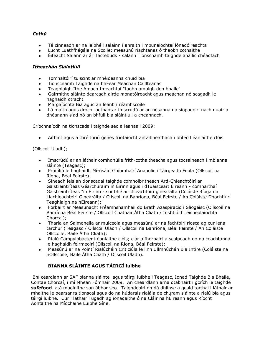# *Cothú*

- Tá cinneadh ar na leibhéil salainn i anraith i mbunaíochtaí lónadóireachta  $\bullet$
- Lucht Luathfhágála na Scoile: measúnú riachtanas ó thaobh cothaithe
- Éifeacht Salann ar ár Tastebuds salann Tionscnamh taighde anailís chéadfach

# *Itheachán Sláintiúil*

- Tomhaltóirí tuiscint ar mhéideanna chuid bia
- Tionscnamh Taighde na bhFear Meáchan Caillteanas
- Teaghlaigh Ithe Amach Imeachtaí "taobh amuigh den bhaile"
- Gairmithe sláinte dearcadh airde monatóireacht agus meáchan nó scagadh le  $\bullet$ haghaidh otracht
- Margaíochta Bia agus an leanbh réamhscoile  $\bullet$
- Lá maith agus droch-laethanta: imscrúdú ar an nósanna na siopadóirí nach nuair a dhéanann siad nó an bhfuil bia sláintiúil a cheannach.

Críochnaíodh na tionscadail taighde seo a leanas i 2009:

 $\bullet$ Aithint agus a thréithriú genes friotaíocht antaibheathach i bhfeoil éanlaithe clóis

(Ollscoil Uladh);

- Imscrúdú ar an láthair comhdhúile frith-cothaitheacha agus tocsaineach i mbianna sláinte (Teagasc);
- Próifíliú le haghaidh Mí-úsáid Gníomhairí Anabolic i Táirgeadh Feola (Ollscoil na Ríona, Béal Feirste);
- Síneadh leis an tionscadal taighde comhoibritheach Ard-Chleachtóirí ar Gaistreintríteas Géarchúraim in Éirinn agus i dTuaisceart Éireann - comharthaí Gaistreintríteas "in Éirinn - suirbhé ar chleachtóirí ginearálta (Coláiste Ríoga na Liachleachtóirí Ginearálta / Ollscoil na Banríona, Béal Feirste / An Coláiste Dhochtúirí Teaghlaigh na hÉireann);
- Forbairt ar Measúnacht Fréamhshamhail do Brath Azaspiracid i Sliogéisc (Ollscoil na Banríona Béal Feirste / Ollscoil Chathair Átha Cliath / Institiúid Teicneolaíochta Chorcaí);
- Tharla an Salmonella ar muiceola agus measúnú ar na fachtóirí riosca ag cur lena  $\bullet$ tarchur (Teagasc / Ollscoil Uladh / Ollscoil na Banríona, Béal Feirste / An Coláiste Ollscoile, Baile Átha Cliath);
- Rialú Campylobacter i éanlaithe clóis; clár a fhorbairt a scaipeadh do na ceachtanna  $\bullet$ le haghaidh feirmeoirí (Ollscoil na Ríona, Béal Feirste);
- Measúnú ar na Pointí Rialúcháin Criticiúla le linn Ullmhúchán Bia Intíre (Coláiste na hOllscoile, Baile Átha Cliath / Ollscoil Uladh).

# **BIANNA SLÁINTE AGUS TÁIRGÍ luibhe**

Bhí ceardlann ar SAF bianna sláinte agus táirgí luibhe i Teagasc, Ionad Taighde Bia Bhaile, Contae Chorcaí, i mí Mheán Fómhair 2009. An cheardlann arna dtabhairt i gcrích le taighde *safe***food** atá maoinithe san ábhar seo. Taighdeoirí ón dá dhlínse a gcuid torthaí i láthair ar mhaithe le pearsanra tionscal agus do na húdaráis rialála de chúram sláinte a rialú bia agus táirgí luibhe. Cur i láthair Tugadh ag ionadaithe ó na Cláir na hÉireann agus Ríocht Aontaithe na Míochaine Luibhe Síne.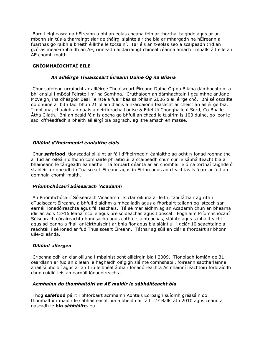Bord Leigheasra na hÉireann a bhí an eolas cheana féin ar thorthaí taighde agus ar an mbonn sin tús a tharraingt siar de tháirgí sláinte áirithe bia ar mhargadh na hÉireann a fuarthas go raibh a bheith éillithe le tocsainí. Tar éis an t-eolas seo a scaipeadh tríd an gcóras mear-rabhaidh an AE, rinneadh aistarraingt chineál céanna amach i mballstáit eile an AE chomh maith.

# **GNÍOMHAÍOCHTAÍ EILE**

# *An ailléirge Thuaisceart Éireann Duine Óg na Bliana*

Chur safefood urraíocht ar ailléirge Thuaisceart Éireann Duine Óg na Bliana dámhachtain, a bhí ar siúl i mBéal Feirste i mí na Samhna. Cruthaíodh an dámhachtain i gcuimhne ar Jane McVeigh, ina dhéagóir Béal Feirste a fuair bás sa bhliain 2006 ó ailléirge cnó. Bhí sé oscailte do dhuine ar bith faoi bhun 21 bliain d'aois a n-ardaíonn feasacht ar cheist an ailléirge bia. I mbliana, chuaigh an duais a deirfiúracha Louise & Edel Uí Chonghaile ó Sord, Co Bhaile Átha Cliath. Bhí an ócáid féin is dócha go bhfuil an chéad le tuairim is 100 duine, go leor le saol d'fhéadfadh a bheith ailléirgí bia bagrach, ag ithe amach en masse.

# *Oiliúint d'fheirmeoirí éanlaithe clóis*

Chur *safe***food** tionscadal oiliúint ar fáil d'fheirmeoirí éanlaithe ag ocht n-ionad roghnaithe ar fud an oileáin d'fhonn comhairle phraiticiúil a scaipeadh chun cur le sábháilteacht bia a bhaineann le táirgeadh éanlaithe. Tá forbairt déanta ar an chomhairle ó na torthaí taighde ó staidéir a rinneadh i dTuaisceart Éireann agus in Éirinn agus an cleachtas is fearr ar fud an domhain chomh maith.

## *Príomhchócairí Sóisearach 'Acadamh*

An Príomhchócairí Sóisearach 'Acadamh Is clár oiliúna ar leith, faoi láthair ag rith i dTuaisceart Éireann, a bhfuil d'aidhm a mhealladh agus a fhorbairt tallann óg isteach san earnáil lónadóireachta agus fáilteachais. Tá sé mar aidhm ag an Acadamh chun an bhearna idir an aois 12-16 leanaí scoile agus breisoideachas agus tionscal. Foghlaim Príomhchócairí Sóisearach cócaireachta bunúsacha agus cothú, sláinteachas, sláinte agus sábháilteacht agus scileanna a fháil ar léirthuiscint ar bhia fíor agus bia sláintiúil i gclár 10 seachtaine a reáchtáil i sé ionad ar fud Thuaisceart Éireann. Táthar ag súil an clár a fhorbairt ar bhonn uile-oileánda.

## *Oiliúint allergen*

Críochnaíodh an clár oiliúna i mbainistíocht ailléirgin bia i 2009. Tionóladh iomlán de 31 ceardlann ar fud an oileáin le haghaidh oifigigh sláinte comhshaoil, foireann saotharlainne anailísí phoiblí agus ar an tríú leibhéal ábhair lónadóireachta Acmhainní léachtóirí forbraíodh chun cuidiú leis an earnáil lónadóireachta.

# *Acmhainn do thomhaltóirí an AE maidir le sábháilteacht bia*

Thog *safe***food** páirt i bhforbairt acmhainn Aontais Eorpaigh suíomh gréasáin do thomhaltóirí maidir le sábháilteacht bia a bheidh ar fáil i 27 Ballstát i 2010 agus ceann a nascadh le **bia** *sábháilte.* eu.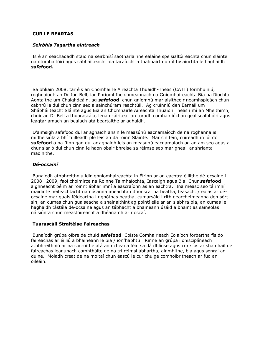# **CUR LE BEARTAS**

### *Seirbhís Tagartha eintreach*

Is é an seachadadh staid na seirbhísí saotharlainne ealaíne speisialtóireachta chun sláinte na dtomhaltóirí agus sábháilteacht bia tacaíocht a thabhairt do ról tosaíochta le haghaidh *safe***food***.*

Sa bhliain 2008, tar éis an Chomhairle Aireachta Thuaidh-Theas (CATT) formhuiniú, roghnaíodh an Dr Jon Bell, iar-Phríomhfheidhmeannach na Gníomhaireachta Bia na Ríochta Aontaithe um Chaighdeáin, ag *safe***food** chun gníomhú mar áisitheoir neamhspleách chun cabhrú le dul chun cinn seo a sainchúram reachtúil. Ag cruinniú den Earnáil um Shábháilteacht Sláinte agus Bia an Chomhairle Aireachta Thuaidh Theas i mí an Mheithimh, chuir an Dr Bell a thuarascála, lena n-áirítear an toradh comhairliúchán geallsealbhóirí agus leagtar amach an bealach atá beartaithe ar aghaidh.

D'aimsigh safefood dul ar aghaidh ansin le measúnú eacnamaíoch de na roghanna is mídheisiúla a bhí tuilleadh plé leis an dá roinn Sláinte. Mar sin féin, cuireadh in iúl do *safe***food** o na Rinn gan dul ar aghaidh leis an measúnú eacnamaíoch ag an am seo agus a chur siar ó dul chun cinn le haon obair bhreise sa réimse seo mar gheall ar shrianta maoinithe.

## *Dé-ocsainí*

Bunaíodh athbhreithniú idir-ghníomhaireachta in Éirinn ar an eachtra éillithe dé-ocsaine i 2008 i 2009, faoi choimirce na Roinne Talmhaíochta, Iascaigh agus Bia. Chur *safe***food** aighneacht béim ar roinnt ábhar imní a eascraíonn as an eachtra. Ina measc seo tá imní maidir le héifeachtacht na nósanna imeachta i dtionscal na beatha, feasacht / eolas ar déocsaine mar guais féideartha i ngnóthas beatha, cumarsáid i rith géarchéimeanna den sórt sin, an cumas chun guaiseacha a shainaithint ag pointí eile ar an slabhra bia, an cumas le haghaidh tástála dé-ocsaine agus an tábhacht a bhaineann úsáid a bhaint as saineolas náisiúnta chun meastóireacht a dhéanamh ar rioscaí.

## **Tuarascáil Straitéise Faireachas**

Bunaíodh grúpa oibre de chuid *safe***food** Coiste Comhairleach Eolaíoch forbartha fís do faireachas ar éilliú a bhaineann le bia / ionfhabhtú. Rinne an grúpa ildhisciplíneach athbhreithniú ar na socruithe atá ann cheana féin sa dá dhlínse agus cur síos ar shamhail de faireachas leanúnach comhtháite de na trí réimsí ábhartha, ainmhithe, bia agus sonraí an duine. Moladh creat de na moltaí chun éascú le cur chuige comhoibritheach ar fud an oileáin.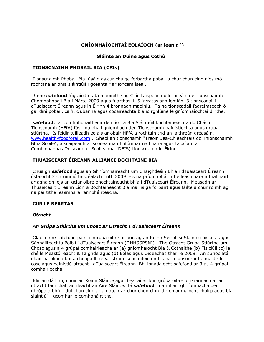# **GNÍOMHAÍOCHTAÍ EOLAÍOCH (ar lean d ')**

# **Sláinte an Duine agus Cothú**

# **TIONSCNAIMH PHOBAIL BIA (CFIs)**

Tionscnaimh Phobail Bia úsáid as cur chuige forbartha pobail a chur chun cinn níos mó rochtana ar bhia sláintiúil i gceantair ar ioncam íseal.

Rinne *safe***food** fógraíodh atá maoinithe ag Clár Taispeána uile-oileáin de Tionscnaimh Chomhphobail Bia i Márta 2009 agus fuarthas 115 iarratas san iomlán, 3 tionscadail i dTuaisceart Éireann agus in Éirinn 4 bronnadh maoiniú. Tá na tionscadail fadréimseach ó gairdíní pobail, caifí, clubanna agus cócaireachta bia idirghlúine le gníomhaíochtaí dírithe.

*safe***food**, a comhbhunaitheoir den líonra Bia Sláintiúil bochtaineachta do Chách Tionscnamh (HFfA) fós, ina bhall gníomhach den Tionscnamh bainistíochta agus grúpaí stiúrtha. Is féidir tuilleadh eolais ar obair HFfA a rochtain tríd an láithreán gréasáin, [www.healthyfoodforall.com](http://translate.google.com/translate?hl=en&prev=_t&sl=auto&tl=ga&u=http://www.healthyfoodforall.com) . Sheol an tionscnamh "Treoir Dea-Chleachtais do Thionscnaimh Bhia Scoile", a scaipeadh ar scoileanna i bhfómhar na bliana agus tacaíonn an Comhionannas Deiseanna i Scoileanna (DEIS) tionscnamh in Éirinn

# **THUAISCEART ÉIREANN ALLIANCE BOCHTAINE BIA**

Chuaigh *safe***food** agus an Ghníomhaireacht um Chaighdeáin Bhia i dTuaisceart Éireann óstaíocht 2 chruinniú taiscéalach i rith 2009 leis na príomhpháirtithe leasmhara a thabhairt ar aghaidh leis an gclár oibre bhochtaineacht bhia i dTuaisceart Éireann. Measadh ar Thuaisceart Éireann Líonra Bochtaineacht Bia mar is gá forbairt agus fáilte a chur roimh ag na páirtithe leasmhara rannpháirteacha.

## **CUR LE BEARTAS**

## *Otracht*

# *An Grúpa Stiúrtha um Chosc ar Otracht I dTuaisceart Éireann*

Glac foirne safefood páirt i ngrúpa oibre ar bun ag an Roinn Seirbhísí Sláinte sóisialta agus Sábháilteachta Poiblí i dTuaisceart Éireann (DHHSSPSNI). The Otracht Grúpa Stiúrtha um Chosc agus a 4 grúpaí comhairleacha ar (a) gníomhaíocht Bia & Cothaithe (b) Fisiciúil (c) le chéile Meastóireacht & Taighde agus (d) Eolas agus Oideachas thar ré 2009. An sprioc atá obair na bliana bhí a cheapadh creat straitéiseach deich mbliana mionsonraithe maidir le cosc agus bainistiú otracht i dTuaisceart Éireann. Bhí ionadaíocht safefood ar 3 as 4 grúpaí comhairleacha.

Idir an dá linn, chuir an Roinn Sláinte agus Leanaí ar bun grúpa oibre idir-rannach ar an otracht faoi chathaoirleacht an Aire Sláinte. Tá *safe***food** ina mbaill ghníomhacha den ghrúpa a bhfuil dul chun cinn ar an obair ar chur chun cinn idir gníomhaíocht choirp agus bia sláintiúil i gcomhar le comhpháirtithe.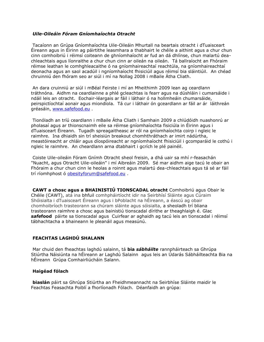### *Uile-Oileáin Fóram Gníomhaíochta Otracht*

Tacaíonn an Grúpa Gníomhaíochta Uile-Oileáin Mhurtall na beartais otracht i dTuaisceart Éireann agus in Éirinn ag páirtithe leasmhara a thabhairt le chéile a aithint agus a chur chun cinn comhoibriú i réimsí coiteann de ghníomhaíocht ar fud an dá dhlínse, chun malartú deachleachtais agus líonraithe a chur chun cinn ar oileán na oileán. Tá ballraíocht an Fhóraim réimse leathan le comhghleacaithe ó na gníomhaireachtaí reachtúla, na gníomhaireachtaí deonacha agus an saol acadúil i ngníomhaíocht fhisiciúil agus réimsí bia sláintiúil. An chéad chruinniú den fhóram seo ar siúl i mí na Nollag 2008 i mBaile Átha Cliath.

An dara cruinniú ar siúl i mBéal Feirste i mí an Mheithimh 2009 lean ag ceardlann tráthnóna. Aidhm na ceardlainne a phlé gcleachtas is fearr agus na dúshláin i cumarsáide i ndáil leis an otracht. Eochair-léargais ar fáil i láthair ó na hollmheáin chumarsáide, peirspictíochtaí aonair agus miondíola. Tá cur i láthair ón gceardlann ar fáil ar ár láithreán gréasáin, [www.safefood.eu](http://translate.google.com/translate?hl=en&prev=_t&sl=auto&tl=ga&u=http://www.safefood.eu) .

Tionóladh an tríú ceardlann i mBaile Átha Cliath i Samhain 2009 a chlúdóidh nuashonrú ar pholasaí agus ar thionscnaimh eile sa réimse gníomhaíochta fisiciúla in Éirinn agus i dTuaisceart Éireann. Tugadh spreagaitheasc ar ról na gníomhaíochta coirp i ngleic le raimhre. Ina dhiaidh sin trí sheisiún breakout chomhthráthach ar imirt nádúrtha, meastóireacht ar chláir agus díospóireacht ar ngníomhaíocht fhisiciúil i gcomparáid le cothú i ngleic le raimhre. An cheardlann arna dtabhairt i gcrích le plé painéil.

Coiste Uile-oileáin Fóram Gnímh Otracht sheol freisin, a dhá uair sa mhí r-feasachán "Nuacht, agus Otracht Uile-oileáin" i mí Aibreáin 2009. Sé mar aidhm aige tacú le obair an Fhóraim a chur chun cinn le heolas a roinnt agus malartú dea-chleachtais agus tá sé ar fáil trí ríomhphost ó [obesityforum@safefood.eu](mailto:obesityforum@safefood.eu).

**CAWT a chosc agus a BHAINISTIÚ TIONSCADAL otracht** Comhoibriú agus Obair le Chéile (CAWT), atá ina bhfuil comhpháirtíocht idir na Seirbhísí Sláinte agus Cúraim Shóisialta i dTuaisceart Éireann agus i bPoblacht na hÉireann, a éascú ag obair chomhoibríoch trasteorann sa chúram sláinte agus sóisialta, a sheoladh trí bliana trasteorann raimhre a chosc agus bainistiú tionscadal dírithe ar theaghlaigh é. Glac *safe***food** páirte sa tionscadal agus Cuirfear ar aghaidh ag tacú leis an tionscadal i réimsí tábhachtacha a bhaineann le pleanáil agus measúnú.

# **FEACHTAS LAGHDÚ SHALANN**

Mar chuid den fheachtas laghdú salainn, tá **bia** *sábháilte* rannpháirteach sa Ghrúpa Stiúrtha Náisiúnta na hÉireann ar Laghdú Salainn agus leis an Údarás Sábháilteachta Bia na hÉireann Grúpa Comhairliúcháin Salann.

### **Haigéad fólach**

**biaslán** páirt sa Ghrúpa Stiúrtha an Fheidhmeannacht na Seirbhíse Sláinte maidir le Feachtas Feasachta Poiblí a fhorlíonadh Fólach. Déanfaidh an grúpa: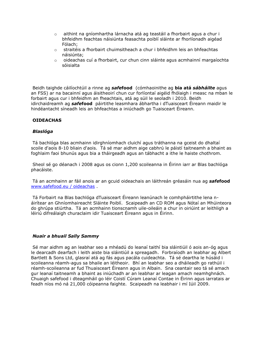- $\circ$  aithint na gníomhartha lárnacha atá ag teastáil a fhorbairt agus a chur i bhfeidhm feachtas náisiúnta feasachta poiblí sláinte ar fhorlíonadh aigéad Fólach;
- o straitéis a fhorbairt chuimsitheach a chur i bhfeidhm leis an bhfeachtas náisiúnta;
- o oideachas cuí a fhorbairt, cur chun cinn sláinte agus acmhainní margaíochta sóisialta

Beidh taighde cáilíochtúil a rinne ag *safe***food** (cómhaoinithe ag **bia atá** *sábháilte* agus an FSS) ar na bacainní agus áisitheoirí chun cur forlíontaí aigéid fhólaigh i measc na mban le forbairt agus cur i bhfeidhm an fheachtais, atá ag súil le seoladh i 2010. Beidh idirchaidreamh ag *safe***food** páirtithe leasmhara ábhartha i dTuaisceart Éireann maidir le hindéantacht síneadh leis an bhfeachtas a iniúchadh go Tuaisceart Éireann.

# **OIDEACHAS**

## *Blaslóga*

Tá bachlóga blas acmhainn idirghníomhach cluichí agus tráthanna na gceist do dhaltaí scoile d'aois 8-10 bliain d'aois. Tá sé mar aidhm aige cabhrú le páistí taitneamh a bhaint as foghlaim faoi bhunús agus bia a tháirgeadh agus an tábhacht a ithe le haiste chothrom.

Sheol sé go déanach i 2008 agus os cionn 1,200 scoileanna in Éirinn iarr ar Blas bachlóga phacáiste.

Tá an acmhainn ar fáil anois ar an gcuid oideachais an láithreán gréasáin nua ag *safe***food** [www.safefood.eu / oideachas](http://translate.google.com/translate?hl=en&prev=_t&sl=auto&tl=ga&u=http://www.safefood.eu/education) .

Tá Forbairt na Blas bachlóga dTuaisceart Éireann leanúnach le comhpháirtithe lena náirítear an Ghníomhaireacht Sláinte Poiblí. Scaipeadh an CD ROM agus Nótaí an Mhúinteora do ghrúpa stiúrtha. Tá an acmhainn tionscnamh uile-oileáin a chur in oiriúint ar leithligh a léiriú difreálaigh churaclaim idir Tuaisceart Éireann agus in Éirinn.

## *Nuair a bhuail Sally Sammy*

Sé mar aidhm ag an leabhar seo a mhéadú do leanaí taithí bia sláintiúil ó aois an-óg agus le dearcadh dearfach i leith aiste bia sláintiúil a spreagadh. Forbraíodh an leabhar ag Albert Bartlett & Sons Ltd, glasraí atá ag fás agus pacála cuideachta. Tá sé deartha le húsáid i scoileanna réamh-agus sa bhaile an léitheoir. Bhí an leabhar seo a dháileadh go rathúil i réamh-scoileanna ar fud Thuaisceart Éireann agus in Albain. Sna ceantair seo tá sé amach gur leanaí taitneamh a bhaint as iniúchadh ar an leabhar ar leagan amach neamhghnách. Chuaigh safefood i dteagmháil go léir Coistí Cúram Leanaí Contae in Éirinn agus iarratais ar feadh níos mó ná 21,000 cóipeanna faighte. Scaipeadh na leabhair i mí Iúil 2009.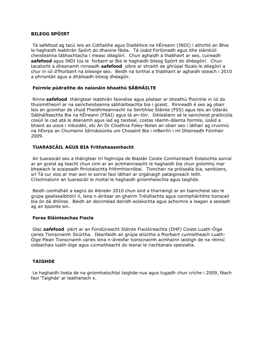# **BILEOG SPÓIRT**

Tá safefood ag tacú leis an Cothaithe agus Diaitéitice na hÉireann (INDI) i athchló an Bhia le haghaidh leabhrán Spóirt do dhaoine fásta. Tá úsáid Forlíonadh agus ithe sláintiúil cheisteanna tábhachtacha i measc déagóirí. Chun aghaidh a thabhairt ar seo, cuireadh *safe***food** agus INDI tús le forbairt ar Bia le haghaidh bileog Spóirt do dhéagóirí. Chun tacaíocht a dheanamh rinneadh *safe***food** oibre ar shraith de ghrúpaí fócais le déagóirí a chur in iúl d'fhorbairt na bileoige seo. Beidh na torthaí a thabhairt ar aghaidh isteach i 2010 a phriontáil agus a dháileadh bileog dhéagóir.

# **Foirmle púdraithe do naíonáin bheathú SÁBHÁILTE**

Rinne *safe***food** tháirgtear leabhrán faisnéise agus póstaer ar bheathú fhoirmle in iúl do thuismitheoirí ar na saincheisteanna sábháilteachta bia i gceist. Rinneadh é seo ag obair leis an gcomhar de chuid Fheidhmeannacht na Seirbhíse Sláinte (FSS) agus leis an Údarás Sábháilteachta Bia na hÉireann (FSAI) agus tá an-tóir. Déileálann sé le saincheist praiticiúla cosúil le cad atá le déanamh agus iad ag taisteal, costas réamh-déanta foirmle, úsáid a bhaint as uisce i mbuidéil, etc An Dr Cliodhna Foley-Nolan an obair seo i láthair ag cruinniú na hEorpa an Chumainn Idirnáisiúnta um Chosaint Bia i mBeirlín i mí Dheireadh Fómhair 2009.

# **TUARASCÁIL AGUS BIA Frithsheasmhacht**

An tuarascáil seo a tháirgtear trí foghrúpa de Biaslán Coiste Comhairleach Eolaíochta sonraí ar an gceist ag teacht chun cinn ar an acmhainneacht le haghaidh bia chun gníomhú mar bhealach le scaipeadh fhriotaíochta frithmhiocróbaí. Tionchair na próiseála bia, sanitizers, srl Tá cur síos ar mar aon le sonraí faoi láthair ar orgánaigh pataigineach leith. Críochnaíonn an tuarascáil le moltaí le haghaidh gníomhaíochta agus taighde.

Beidh comhdháil a eagrú do Aibreán 2010 chun aird a tharraingt ar an tsaincheist seo le grúpa geallsealbhóirí il, lena n-áirítear an ghairm Tréidliachta agus comhpháirtithe tionscail bia ón dá dhlínse. Beidh an doiciméad deiridh eolaíochta agus achoimre a leagan a seoladh ag an bpointe sin.

# **Foras Sláinteachas Fiacla**

Glac *safe***food** páirt ar an Fondúireacht Sláinte Fiaclóireachta (DHF) Coiste Luath-Óige caries Tionscnamh Stiúrtha. Déanfaidh an grúpa stiúrtha a fhorbairt cuimsitheach Luath-Óige Plean Tionscnamh caries lena n-áireofar tionscnaimh acmhainn laistigh de na réimsí oideachais luath-óige agus cuimsitheacht do leanaí le riachtanais speisialta.

# **TAIGHDE**

Le haghaidh liosta de na gníomhaíochtaí taighde nua agus tugadh chun críche i 2009, féach faoi 'Taighde' ar leathanach x.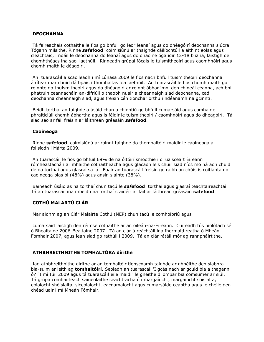### **DEOCHANNA**

Tá faireachais cothaithe le fios go bhfuil go leor leanaí agus do dhéagóirí deochanna siúcra Tógann milsithe. Rinne *safe***food** coimisiúnú ar thaighde cáilíochtúil a aithint eolas agus cleachtais, i ndáil le deochanna do leanaí agus do dhaoine óga idir 12-18 bliana, laistigh de chomhthéacs ina saol laethúil. Rinneadh grúpaí fócais le tuismitheoirí agus caomhnóirí agus chomh maith le déagóirí.

An tuarascáil a scaoileadh i mí Lúnasa 2009 le fios nach bhfuil tuismitheoirí deochanna áirítear mar chuid dá bpáistí thomhaltas bia laethúil. An tuarascáil le fios chomh maith go roinnte do thuismitheoirí agus do dhéagóirí ar roinnt ábhar imní den chineál céanna, ach bhí phatrúin ceannacháin an-difriúil ó thaobh nuair a cheannaigh siad deochanna, cad deochanna cheannaigh siad, agus freisin cén tionchar orthu i ndéanamh na gcinntí.

Beidh torthaí an taighde a úsáid chun a chinntiú go bhfuil cumarsáid agus comhairle phraiticiúil chomh ábhartha agus is féidir le tuismitheoirí / caomhnóirí agus do dhéagóirí. Tá siad seo ar fáil freisin ar láithreán gréasáin *safe***food**.

## **Caoineoga**

Rinne *safe***food** coimisiúnú ar roinnt taighde do thomhaltóirí maidir le caoineoga a foilsíodh i Márta 2009.

An tuarascáil le fios go bhfuil 69% de na óltóirí smoothie i dTuaisceart Éireann rómheastachán ar mhaithe cothaitheacha agus glacadh leis chuir siad níos mó ná aon chuid de na torthaí agus glasraí sa lá. Fuair an tuarascáil freisin go raibh an chúis is coitianta do caoineoga blas ól (48%) agus ansin sláinte (38%).

Baineadh úsáid as na torthaí chun tacú le *safe***food** torthaí agus glasraí teachtaireachtaí. Tá an tuarascáil ina mbeidh na torthaí staidéir ar fáil ar láithreán gréasáin **safefood**.

# **COTHÚ MALARTÚ CLÁR**

Mar aidhm ag an Clár Malairte Cothú (NEP) chun tacú le comhoibriú agus

cumarsáid laistigh den réimse cothaithe ar an oileán-na-Éireann. Cuireadh tús píolótach sé ó Bhealtaine 2006-Bealtaine 2007. Tá an clár á reáchtáil ina fhormáid reatha ó Mheán Fómhair 2007, agus lean siad go rathúil i 2009. Tá an clár rátáil mór ag rannpháirtithe.

# **ATHBHREITHNITHE TOMHALTÓRA dírithe**

Iad athbhreithnithe dírithe ar an tomhaltóir tionscnamh taighde ar ghnéithe den slabhra bia-suim ar leith ag **tomhaltóirí.** Seoladh an tuarascáil 'I gcás nach ár gcuid bia a thagann ó? "I mí Iúil 2009 agus tá tuarascáil eile maidir le gnéithe d'iompar bia comsumer ar siúl. Tá grúpa comhairleach saineolaithe seachtracha ó mhargaíocht, margaíocht sóisialta, eolaíocht shóisialta, síceolaíocht, eacnamaíocht agus cumarsáide ceaptha agus le chéile den chéad uair i mí Mheán Fómhair.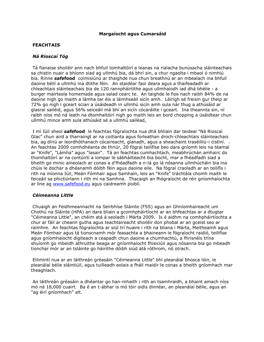### **Margaíocht agus Cumarsáid**

### **FEACHTAIS**

### *Ná Rioscaí Tóg*

Tá fianaise shoiléir ann nach bhfuil tomhaltóirí a leanas na rialacha bunúsacha sláinteachais sa chistin nuair a bhíonn siad ag ullmhú bia, dá bhrí sin, a chur ngaolta i mbaol ó nimhiú bia. Rinne *safe***food** coimisiúnú ar thaighde nua chun breathnú ar an mbealach ina bhfuil daoine béilí a ullmhú ina dtithe féin. An staidéar faoi deara agus a thaifeadadh ar chleachtais sláinteachais bia de 120 rannpháirtithe agus ullmhaíodh iad dhá bhéile - a burger mairteola homemade agus salad cearc te. An taighde le fios nach raibh 84% de na daoine nigh go maith a lámha tar éis a láimhseáil sicín amh. Léirigh sé freisin gur theip ar 72% go nigh i gceart scian a úsáideadh in ullmhú sicín amh sula nár thug a athúsáid ar glasraí sailéid, agus 56% seiceáil má bhí an sicín cócaráilte i gceart. Ina theannta sin, ní raibh níos mó ná leath na dtomhaltóirí nigh go maith leis an bord chopping a úsáidtear chun ullmhú mince amh sula athúsáid sé a ullmhú sailéad,

I mí Iúil sheol *safe***food** le feachtas fógraíochta nua dhá bhliain dar teideal "Ná Rioscaí Glac" chun aird a tharraingt ar na coitianta agus forleathan droch-chleachtais sláinteachais bia, ag díriú ar leordhóthanach cócaireacht, glanadh, agus a sheachaint traséilliú-i cistiní. . An feachtas 2009 comhdhéanta de thriúr, 20 fógraí teilifíse beo dara gníomh leis na téamaí ar "Knife", "Lámha" agus "lasair". Tá an feachtas cumhachtach, meabhrúchán amhairc do thomhaltóirí ar na contúirtí a iompar le sábháilteacht bia bocht, mar a fhéadfadh siad a bheith go minic aineolach ar conas a d'fhéadfadh a n-lá go lá nósanna ullmhúcháin bia ina chúis le dochar a dhéanamh dóibh féin agus daoine eile. Na fógraí craoladh ar an teilifís i rith na míonna Iúil, Meán Fómhair agus Samhain, leis an "Knife" tráchtála chomh maith le feiceáil sa phictiúrlann i rith mí na Samhna. Thacaigh an fhógraíocht de réir gníomhaíochta ar líne ag [www.safefood.eu](http://translate.google.com/translate?hl=en&prev=_t&sl=auto&tl=ga&u=http://www.safefood.eu/) agus caidreamh poiblí.

### *Céimeanna Little*

Chuaigh an Feidhmeannacht na Seirbhíse Sláinte (FSS) agus an Ghníomhaireacht um Chothú na Sláinte (HPA) an dara bliain a gcomhpháirtíocht ar an bhfeachtas ar a dtugtar "Céimeanna Little", an chéim atá á seoladh i Márta 2009. Is é aidhm na comhpháirtíochta a chur ar fáil ar cheann gutha agus teachtaireacht shoiléir don phobal ar an gceist seo ar raimhre. An feachtas fógraíochta ar siúl trí huaire i rith na bliana i Márta, Meitheamh agus Meán Fómhair agus tá tionscnamh mór feasachta a bhaineann le fógraíocht raidió, teilifíse agus gníomhaíocht digiteach a ceapadh chun daoine a chumhachtú, a fhrisnéis trína shuíomh go mbeidh athruithe beaga ar gníomhaíocht fhisiciúil agus nósanna bia go mbeadh tionchar mór ar an tsláinte go háirithe dóibh siúd atá róthrom, nó otrach.

Eilimintí nua ar an láithreán gréasáin "Céimeanna Little" bhí pleanálaí bhosca lóin, le pleanálaí béile sláintiúil, agus tuilleadh eolais a fháil maidir le conas a bheith gníomhach mar theaghlach.

An láithreán gréasáin a dhéantar go han-mhaith i rith an tsamhraidh, a bhaint amach níos mó ná 18,000 cuairt. Ba é an t-ábhar is mó tóir oidis dinnéar, an pleanálaí béile, agus an "ag éirí gníomhach" alt.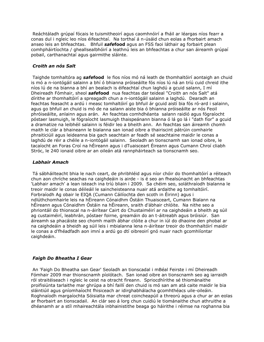Reáchtáladh grúpaí fócais le tuismitheoirí agus caomhnóirí a fháil ar léargas níos fearr a conas dul i ngleic leo níos éifeachtaí. Na torthaí á n-úsáid chun eolas a fhorbairt amach anseo leis an bhfeachtas. Bhfuil *safe***food** agus an FSS faoi láthair ag forbairt plean comhpháirtíochta / gheallsealbhóirí a leathnú leis an bhfeachtas a chur san áireamh grúpaí pobail, carthanachtaí agus gairmithe sláinte.

# *Croith an nós Salt*

Taighde tomhaltóra ag *safe***food** le fios níos mó ná leath de thomhaltóirí aontaigh an chuid is mó a n-iontógáil salainn a bhí ó bhianna próiseáilte fós níos lú ná an tríú cuid chreid ithe níos lú de na bianna a bhí an bealach is éifeachtaí chun laghdú a gcuid salann, I mí Dheireadh Fómhair, sheol *safe***food** nua feachtas dar teideal "Croith an nós Salt" atá dírithe ar thomhaltóirí a spreagadh chun a n-iontógáil salainn a laghdú. Dearadh an feachtas feasacht a ardú i measc tomhaltóirí go bhfuil ár gcuid aistí bia fós ró-ard i salainn, agus go bhfuil an chuid is mó de na salann aiste bia ó bhianna próiseáilte ar nós Feoil phróiseáilte, anlainn agus arán. An feachtas comhdhéanta salann raidió agus fógraíocht póstaer lasmuigh, le fógraíocht lasmuigh thaispeánann bianna ó lá go lá i "dath fíor" a gcuid a dramatize na leibhéil salainn is féidir leo a bheith ann. An feachtas san áireamh chomh maith le clár a bhaineann le bialanna san ionad oibre a thairiscint pátrúin comhairle phraiticiúil agus leideanna bia gach seachtain ar feadh sé seachtaine maidir le conas a laghdú de réir a chéile a n-iontógáil salainn. Seoladh an tionscnamh san ionad oibre, le tacaíocht an Foras Croí na hÉireann agus i dTuaisceart Éireann agus Cumann Chroí cliabh Stróc, le 240 ionaid oibre ar an oileán atá rannpháirteach sa tionscnamh seo.

# *Labhair Amach*

Tá sábháilteacht bhia le nach ceart, de phribhléid agus níor chóir do thomhaltóirí a réiteach chun aon chríche seachas na caighdeáin is airde - is é seo an fhealsúnacht an bhfeachtas 'Labhair amach' a lean isteach ina tríú bliain i 2009. Sa chéim seo, soláthraíodh bialanna le treoir maidir le conas déileáil le saincheisteanna nuair atá ardaithe ag tomhaltóirí. Forbraíodh Ag obair le EIQA (Cumann Cáilíochta den scoth in Éirinn) agus i ndlúthchomhairle leis na hÉireann Cónaidhm Óstáin Thuaisceart, Cumann Bialann na hÉireann agus Cónaidhm Óstáin na hÉireann, sraith d'ábhair chlóite. Na nithe seo a phriontáil do thionscal na n-áirítear Cairt do Chustaiméirí ar na caighdeáin a bheith ag súil ag custaiméirí, leabhrán, póstaer foirne, greamáin do an t-áitreabh agus bróisiúr. San áireamh sa phacáiste seo chomh maith ábhar clóite a chur in iúl do dhaoine den phobal ar na caighdeáin a bheidh ag súil leis i mbialanna lena n-áirítear treoir do thomhaltóirí maidir le conas a d'fhéadfadh aon imní a ardú go dtí oibreoirí gnó nuair nach gcomhlíontar caighdeáin.

# *Faigh Do Bheatha I Gear*

An 'Faigh Do Bheatha san Gear' Seoladh an tionscadal i mBéal Feirste i mí Dheireadh Fómhair 2009 mar thionscnamh píolótach. San ionad oibre an tionscnamh seo ag iarraidh ról straitéiseach i ngleic le ceist na otracht fireann. Spriocdhírithe sé thiománaithe proifisiúnta tarlaithe mar ghrúpa a bhí faillí den chuid is mó san am atá caite maidir le bia sláintiúil agus gníomhaíocht fhisiceach ar idirghabhálacha gcomhthéacs uile-oileáin. Roghnaíodh margaíochta Sóisialta mar chreat coincheapúil a threorú agus a chur ar an eolas ar fhorbairt an tionscadail. An clár seo á lorg chun cuidiú le tiománaithe chun athruithe a dhéanamh ar a stíl mhaireachtála inbhainistithe beaga go háirithe i réimse na roghanna bia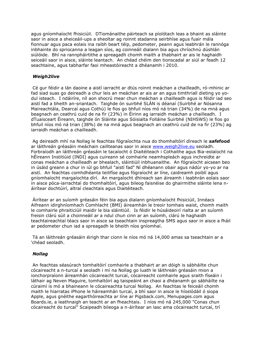agus gníomhaíocht fhisiciúil. DTiománaithe páirteach sa píolótach leas a bhaint as sláinte saor in aisce a sheiceáil-ups a sheoltar ag roinnt stadanna seirbhíse agus fuair mála fionnuar agus paca eolais ina raibh beart téip, pedometer, peann agus leabhrán le rannóga inbhainte do spriocanna a leagan síos, ag coinneáil dialann bia agus chríochnú dúshlán siúlóide. Bhí na rannpháirtithe a spreagadh chomh maith a thabhairt ar ais le haghaidh seiceáil saor in aisce, sláinte leantach. An chéad chéim den tionscadal ar siúl ar feadh 12 seachtaine, agus tabharfar faoi mheastóireacht a dhéanamh i 2010.

# *Weigh2live*

Cé gur féidir a lán daoine a aistí iarracht ar dtús roinnt meáchan a chailleadh, ró-mhinic ar fad siad suas go deireadh a chur leis an meáchan ar ais ar an agus timthriall dieting yo yodul isteach. I ndáiríre, níl aon shocrú mear chun meáchan a chailleadh agus is féidir iad seo aistí fad a bheith an-sriantach. Taighde ón suirbhé SLÁN is déanaí (Suirbhé ar Nósanna Maireachtála, Dearcaí agus Cothú) le fios go bhfuil níos mó ná trian (34%) de na mná agus beagnach an ceathrú cuid de na fir (23%) in Éirinn ag iarraidh meáchan a chailleadh. I dTuaisceart Éireann, taighde ón Sláinte agus Sóisialta Folláine Suirbhé (NIHSWS) le fios go bhfuil níos mó ná trian (38%) de na mná agus beagnach an ceathrú cuid de na fir (23%) ag iarraidh meáchan a chailleadh.

Ag deireadh mhí na Nollag le feachtas fógraíochta nua do thomhaltóirí díreach le *safe***food** ar láithreán gréasáin meáchain caillteanas saor in aisce [www.weigh2live.eu](http://translate.google.com/translate?hl=en&prev=_t&sl=auto&tl=ga&u=http://www.weigh2live.eu) seoladh. Forbraíodh an láithreán gréasáin le tacaíocht ó Diaitéiteach i Cothaithe agus Bia-eolaíocht na hÉireann Institiúid (INDI) agus cuireann sé comhairle neamhspleách agus inchreidte ar conas meáchan a chailleadh ar bhealach, sláintiúil inbhuanaithe. An fógraíocht aicsean beo in úsáid greann a chur in iúl go bhfuil "aistí fad" Ní dhéanann obair agus nádúr yo-yo ar na aistí. An feachtas comhdhéanta teilifíse agus fógraíocht ar líne, caidreamh poiblí agus gníomhaíocht margaíochta dírí. An margaíocht dhíreach san áireamh i leabhrán eolais saor in aisce póca-iarrachtaí do thomhaltóirí, agus bileog faisnéise do ghairmithe sláinte lena náirítear dochtúirí, altraí cleachtais agus Diaitéiteach.

Áirítear ar an suíomh gréasáin féin bia agus dialann gníomhaíocht fhisiciúil, Innéacs Aifreann idirghníomhach Comhlacht (BMI) áireamhán le treoir tomhais waist, chomh maith le comhairle phraiticiúil maidir le bia sláintiúil. Is féidir le húsáideoirí rialta ar an suíomh freisin clárú súil a choinneáil ar a ndul chun cinn ar an suíomh, clárú le haghaidh teachtaireachtaí téacs saor in aisce sa tseachtain inspreagtha SMS agus saor in aisce a fháil ar pedometer chun iad a spreagadh le bheith níos gníomhaí.

Tá an láithreán gréasáin éirigh thar cionn le níos mó ná 14,000 amas sa tseachtain ar a 'chéad seoladh.

## *Nollag*

An feachtas séasúrach tomhaltóirí comhairle a thabhairt ar an dóigh is sábháilte chun cócaireacht a n-turcaí a seoladh i mí na Nollag go luath le láithreán gréasáin mion a ionchorpraíonn áireamhán cócaireacht turcaí, cócaireacht comhairle agus sraith físeáin i láthair ag Neven Maguire, tomhaltóirí ag taispeáint an chaoi a dhéanamh go sábháilte na cúraimí is mó a bhaineann le cócaireachta turcaí Nollag. An feachtas le feiceáil chomh maith le hiarratas iPhone le háireamhán turcaí, a bhí saor in aisce le híoslódáil ó siopa Apple, agus gnéithe eagarthóireachta ar líne ar Pigsback.com, Menupages.com agus Boards.ie, a leathnaigh an teacht ar an fheachtais. I níos mó ná 245,000 "Conas chun cócaireacht do turcaí" Scaipeadh bileoga a n-áirítear an lasc ama cócaireacht turcaí, trí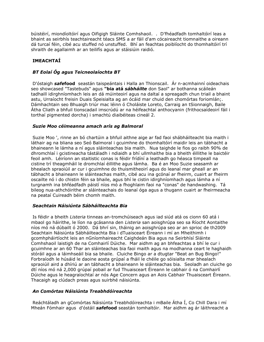búistéirí, miondíoltóirí agus Oifigigh Sláinte Comhshaoil. . D'fhéadfadh tomhaltóirí leas a bhaint as seirbhís teachtaireacht téacs SMS a ar fáil d'am cócaireacht tiomnaithe a oireann dá turcaí féin, cibé acu stuffed nó unstuffed. Bhí an feachtas poiblíocht do thomhaltóirí trí shraith de agallaimh ar an teilifís agus ar stáisiúin raidió.

# **IMEACHTAÍ**

# *BT Eolaí Óg agus Teicneolaíochta BT*

D'óstaigh *safe***food** seastán taispeántais i Halla an Thionscail. Ár n-acmhainní oideachais seo showcased "Tastebuds" agus **"bia atá** *sábháilte* don Saol" ar bothanna scáileán tadhaill idirghníomhach leis an dá múinteoirí agus na daltaí a spreagadh chun triail a bhaint astu, Urraíocht freisin Duais Speisialta ag an ócáid mar chuid den chomórtas foriomlán;. Dámhachtain seo Bhuaigh triúr mac léinn ó Choláiste Loreto, Carraig an tSionnaigh, Baile Átha Cliath a bhfuil tionscadail imscrúdú ar na héifeachtaí anthocyanin (frithocsaídeoirí fáil i torthaí pigmented dorcha) i smachtú diaibéiteas cineál 2.

# *Suzie Moo céimeanna amach arís ag Balmoral*

Suzie Moo ', rinne an bó chartúin a bhfuil aithne aige ar fad faoi shábháilteacht bia maith i láthair ag na bliana seo Seó Balmoral i gcuimhne do thomhaltóirí maidir leis an tábhacht a bhaineann le lámha a ní agus sláinteachas bia maith. Nua taighde le fios go raibh 90% de dhromchlaí i gcistineacha tástáladh i ndiaidh a bhí ullmhaithe bia a bheith éillithe le baictéir feoil amh. Léiríonn an staitistic conas is féidir frídíní a leathadh go héasca timpeall na cistine trí theagmháil le dromchlaí éillithe agus lámha. Ba é an Moo Suzie seasamh ar bhealach spraoiúil ar cur i gcuimhne do thuismitheoirí agus do leanaí mar gheall ar an tábhacht a bhaineann le sláinteachas maith, cibé acu ina gcónaí ar fheirm, cuairt ar fheirm oscailte nó i do chistin féin sa bhaile, agus bhí le cistin idirghníomhach agus lámha a ní turgnamh ina bhféadfadh páistí níos mó a fhoghlaim faoi na "conas" de handwashing. Tá bileog nua-athchóirithe ar sláinteachais do leanaí óga agus a thugann cuairt ar fheirmeacha na peataí Cuireadh béim chomh maith.

# *Seachtain Náisiúnta Sábháilteachta Bia*

Is féidir a bheith *Listeria* tinneas an-tromchúiseach agus iad siúd atá os cionn 60 atá i mbaol go háirithe, le líon na gcásanna den *Listeria* san aoisghrúpa seo sa Ríocht Aontaithe níos mó ná dúbailt ó 2000. Dá bhrí sin, tháinig an aoisghrúpa seo ar an sprioc de th2009 Seachtain Náisiúnta Sábháilteachta Bia i dTuaisceart Éireann i mí an Mheithimh i gcomhpháirtíocht leis an nGníomhaireacht Caighdeán Bia agus na Seirbhísí Sláinte Comhshaoil laistigh de na Comhairlí Dúiche. Mar aidhm ag an bhfeachtas a bhí le cur i gcuimhne ar an 60 Thar an sláinteachas bia faoi maith agus na modhanna ceart le haghaidh stóráil agus a láimhseáil bia sa bhaile. Cluiche Bingo ar a dtugtar "Beat an Bug Bingo!" Forbraíodh le húsáid le daoine aosta grúpaí a fháil le chéile go sóisialta mar bhealach spraoiúil aird a dhíriú ar an tábhacht a bhaineann le sláinteachas bia. Seoladh an cluiche go dtí níos mó ná 2,000 grúpaí pobail ar fud Thuaisceart Éireann le cabhair ó na Comhairlí Dúiche agus le heagraíochtaí ar nós Age Concern agus an Aois Cabhair Thuaisceart Éireann. Thacaigh ag clúdach preas agus suirbhé náisiúnta.

# *An Comórtas Náisiúnta Treabhdóireachta*

Reáchtáladh an gComórtas Náisiúnta Treabhdóireachta i mBaile Átha Í, Co Chill Dara i mí Mheán Fómhair agus d'óstáil *safe***food** seastán tomhaltóir. Mar aidhm ag ár láithreacht a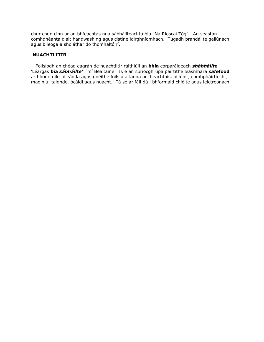chur chun cinn ar an bhfeachtas nua sábháilteachta bia "Ná Rioscaí Tóg". An seastán comhdhéanta d'alt handwashing agus cistine idirghníomhach. Tugadh brandáilte gallúnach agus bileoga a sholáthar do thomhaltóirí.

# **NUACHTLITIR**

Foilsíodh an chéad eagrán de nuachtlitir ráithiúil an **bhia** corparáideach *shábháilte* 'Léargas **bia** *sábháilte'* i mí Bealtaine. Is é an spriocghrúpa páirtithe leasmhara *safe***food** ar bhonn uile-oileánda agus gnéithe foilsiú altanna ar fheachtais, oiliúint, comhpháirtíocht, maoiniú, taighde, ócáidí agus nuacht. Tá sé ar fáil dá i bhformáid chlóite agus leictreonach.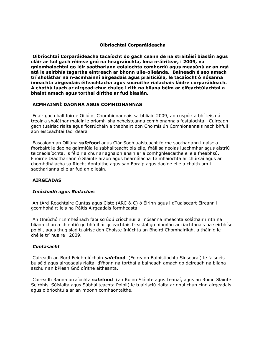# **Oibríochtaí Corparáideacha**

**Oibríochtaí Corparáideacha tacaíocht do gach ceann de na straitéisí biaslán agus cláir ar fud gach réimse gnó na heagraíochta, lena n-áirítear, i 2009, na gníomhaíochtaí go léir saotharlann eolaíochta comhordú agus measúnú ar an ngá atá le seirbhís tagartha eintreach ar bhonn uile-oileánda. Baineadh é seo amach trí sholáthar na n-acmhainní airgeadais agus praiticiúla, le tacaíocht ó nósanna imeachta airgeadais éifeachtacha agus socruithe rialachais láidre corparáideach. A chothú luach ar airgead-chur chuige i rith na bliana béim ar éifeachtúlachtaí a bhaint amach agus torthaí dírithe ar fud biaslán.**

# **ACMHAINNÍ DAONNA AGUS COMHIONANNAS**

Fuair gach ball foirne Oiliúint Chomhionannais sa bhliain 2009, an cuspóir a bhí leis ná treoir a sholáthar maidir le príomh-shaincheisteanna comhionannais fostaíochta. Cuireadh gach tuairisc rialta agus fiosrúcháin a thabhairt don Choimisiún Comhionannais nach bhfuil aon eisceachtaí faoi deara

Éascaíonn an Oiliúna *safe***food** agus Clár Soghluaisteacht foirne saotharlann i naisc a fhorbairt le daoine gairmiúla le sábháilteacht bia eile, fháil saineolas luachmhar agus aistriú teicneolaíochta, is féidir a chur ar aghaidh ansin ar a comhghleacaithe eile a fheabhsú. Fhoirne tSaotharlann ó Sláinte araon agus hearnálacha Talmhaíochta ar chúrsaí agus ar chomhdhálacha sa Ríocht Aontaithe agus san Eoraip agus daoine eile a chaith am i saotharlanna eile ar fud an oileáin.

# **AIRGEADAS**

## *Iniúchadh agus Rialachas*

An tArd-Reachtaire Cuntas agus Ciste (ARC & C) ó Éirinn agus i dTuaisceart Éireann i gcomhpháirt leis na Ráitis Airgeadais formheasta.

An tIniúchóir Inmheánach faoi scrúdú críochnúil ar nósanna imeachta soláthair i rith na bliana chun a chinntiú go bhfuil ár gcleachtais freastal go hiomlán ar riachtanais na seirbhíse poiblí, agus thug siad tuairisc don Choiste Iniúchta an Bhoird Chomhairligh, a tháinig le chéile trí huaire i 2009.

## *Cuntasacht*

Cuireadh an Bord Feidhmiúcháin *safe***food** (Foireann Bainistíochta Sinsearaí) le faisnéis buiséid agus airgeadais rialta, d'fhonn na torthaí a baineadh amach go deireadh na bliana aschuir an bPlean Gnó dírithe aitheanta.

Cuireadh Ranna urraíochta *safe***food** (an Roinn Sláinte agus Leanaí, agus an Roinn Sláinte Seirbhísí Sóisialta agus Sábháilteachta Poiblí) le tuairisciú rialta ar dhul chun cinn airgeadais agus oibríochtúla ar an mbonn comhaontaithe.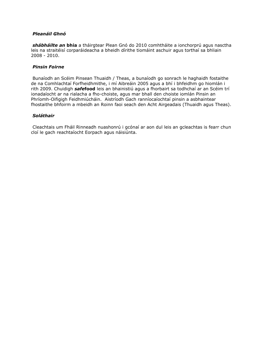# *Pleanáil Ghnó*

*shábháilte an* **bhia** a tháirgtear Plean Gnó do 2010 comhtháite a ionchorprú agus nasctha leis na straitéisí corparáideacha a bheidh dírithe tiomáint aschuir agus torthaí sa bhliain 2008 - 2010.

# *Pinsin Foirne*

Bunaíodh an Scéim Pinsean Thuaidh / Theas, a bunaíodh go sonrach le haghaidh fostaithe de na Comhlachtaí Forfheidhmithe, i mí Aibreáin 2005 agus a bhí i bhfeidhm go hiomlán i rith 2009. Chuidigh *safe***food** leis an bhainistiú agus a fhorbairt sa todhchaí ar an Scéim trí ionadaíocht ar na rialacha a fho-choiste, agus mar bhall den choiste iomlán Pinsin an Phríomh-Oifigigh Feidhmiúcháin. Aistríodh Gach ranníocaíochtaí pinsin a asbhaintear fhostaithe bhfoirm a mbeidh an Roinn faoi seach den Acht Airgeadais (Thuaidh agus Theas).

# *Soláthair*

Cleachtais um Fháil Rinneadh nuashonrú i gcónaí ar aon dul leis an gcleachtas is fearr chun cloí le gach reachtaíocht Eorpach agus náisiúnta.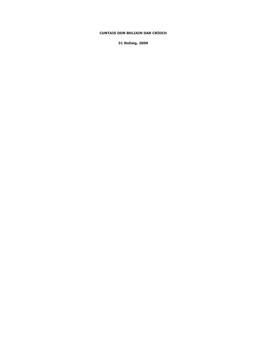### **CUNTAIS DON BHLIAIN DAR CRÍOCH**

**31 Nollaig, 2009**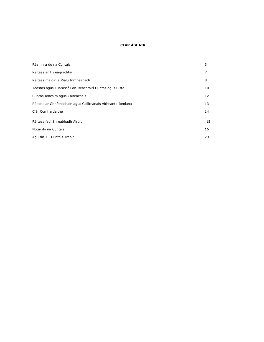### **CLÁR ÁBHAIR**

| Réamhrá do na Cuntais                                       | 3  |
|-------------------------------------------------------------|----|
| Ráiteas ar Fhreagrachtaí                                    | 7  |
| Ráiteas maidir le Rialú Inmheánach                          | 8  |
| Teastas agus Tuarascáil an-Reachtairí Cuntas agus Ciste     | 10 |
| Cuntas Ioncaim agus Caiteachais                             | 12 |
| Ráiteas ar Ghnóthachain agus Caillteanais Aitheanta Iomlána | 13 |
| Clár Comhardaithe                                           | 14 |
| Ráiteas faoi Shreabhadh Airgid                              | 15 |
| Nótaí do na Cuntais                                         | 16 |
| Aguisín 1 - Cuntais Treoir                                  | 29 |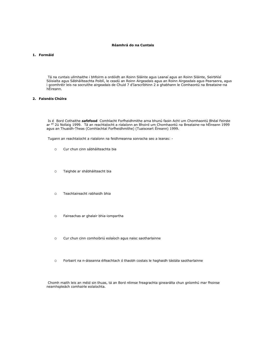### **Réamhrá do na Cuntais**

### **1. Formáid**

Tá na cuntais ullmhaithe i bhfoirm a ordóidh an Roinn Sláinte agus Leanaí agus an Roinn Sláinte, Seirbhísí Sóisialta agus Sábháilteachta Poiblí, le ceadú an Roinn Airgeadais agus an Roinn Airgeadais agus Pearsanra, agus i gcomhréir leis na socruithe airgeadais de Chuid 7 d'Iarscríbhinn 2 a ghabhann le Comhaontú na Breataine-na hÉireann.

### **2. Faisnéis Chúlra**

Is é Bord Cothaithe *safe***food** Comhlacht Forfheidhmithe arna bhunú faoin Acht um Chomhaontú Bhéal Feirste ar <sup>an</sup> 2ú Nollaig 1999. Tá an reachtaíocht a rialaíonn an Bhoird um Chomhaontú na Breataine-na hÉireann 1999 agus an Thuaidh-Theas (Comhlachtaí Forfheidhmithe) (Tuaisceart Éireann) 1999.

Tugann an reachtaíocht a rialaíonn na feidhmeanna sonracha seo a leanas: -

- o Cur chun cinn sábháilteachta bia
- o Taighde ar shábháilteacht bia
- o Teachtaireacht rabhaidh bhia
- o Faireachas ar ghalair bhia-iompartha
- o Cur chun cinn comhoibriú eolaíoch agus naisc saotharlainne
- o Forbairt na n-áiseanna éifeachtach ó thaobh costais le haghaidh tástála saotharlainne

Chomh maith leis an méid sin thuas, tá an Bord réimse freagrachta ginearálta chun gníomhú mar fhoinse neamhspleách comhairle eolaíochta.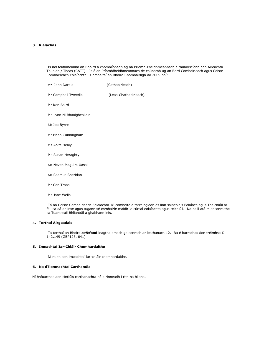### **3. Rialachas**

Is iad feidhmeanna an Bhoird a chomhlíonadh ag na Príomh-Fheidhmeannach a thuairiscíonn don Aireachta Thuaidh / Theas (CATT). Is é an Príomhfheidhmeannach de chúnamh ag an Bord Comhairleach agus Coiste Comhairleach Eolaíochta. Comhaltaí an Bhoird Chomhairligh do 2009 bhí:

| Mr John Dardis            | (Cathaoirleach)       |
|---------------------------|-----------------------|
| Mr Campbell Tweedie       | (Leas-Chathaoirleach) |
| Mr Ken Baird              |                       |
| Ms Lynn Ni Bhaoigheallain |                       |
| Mr Joe Byrne              |                       |
| Mr Brian Cunningham       |                       |
| Ms Aoife Healy            |                       |
| Ms Susan Heraghty         |                       |
| Mr Neven Maguire Uasal    |                       |
| Mr Seamus Sheridan        |                       |
| Mr Con Traas              |                       |

Ms Jane Wells

Tá an Coiste Comhairleach Eolaíochta 18 comhalta a tarraingíodh as linn saineolais Eolaíoch agus Theicniúil ar fáil sa dá dhlínse agus tugann sé comhairle maidir le cúrsaí eolaíochta agus teicniúil. Na baill atá mionsonraithe sa Tuarascáil Bhliantúil a ghabhann leis.

### **4. Torthaí Airgeadais**

Tá torthaí an Bhoird *safe***food** leagtha amach go sonrach ar leathanach 12. Ba é barrachas don tréimhse € 142,149 (GBP126, 641).

### **5. Imeachtaí Iar-Chláir Chomhardaithe**

Ní raibh aon imeachtaí Iar-chláir chomhardaithe.

### **6. Na dTiomnachtaí Carthanúla**

Ní bhfuarthas aon síntiúis carthanachta nó a rinneadh i rith na bliana.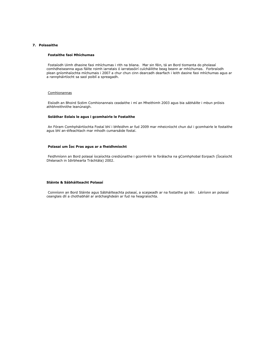### **7. Polasaithe**

#### **Fostaithe faoi Mhíchumas**

Fostaíodh Uimh dhaoine faoi mhíchumas i rith na bliana. Mar sin féin, tá an Bord tiomanta do pholasaí comhdheiseanna agus fáilte roimh iarratais ó iarratasóirí cuícháilithe beag beann ar mhíchumas. Forbraíodh plean gníomhaíochta míchumais i 2007 a chur chun cinn dearcadh dearfach i leith daoine faoi mhíchumas agus ar a rannpháirtíocht sa saol poiblí a spreagadh.

### Comhionannas

Eisíodh an Bhoird Scéim Comhionannais ceadaithe i mí an Mheithimh 2003 agus bia *sábháilte* i mbun próisis athbhreithnithe leanúnaigh.

### **Soláthar Eolais le agus i gcomhairle le Fostaithe**

An Fóram Comhpháirtíochta Fostaí bhí i bhfeidhm ar fud 2009 mar mheicníocht chun dul i gcomhairle le fostaithe agus bhí an-éifeachtach mar mhodh cumarsáide fostaí.

### **Polasaí um Íoc Pras agus ar a fheidhmíocht**

Feidhmíonn an Bord polasaí íocaíochta creidiúnaithe i gcomhréir le forálacha na gComhphobal Eorpach (Íocaíocht Dhéanach in Idirbhearta Tráchtála) 2002.

#### **Sláinte & Sábháilteacht Polasaí**

Coinníonn an Bord Sláinte agus Sábháilteachta polasaí, a scaipeadh ar na fostaithe go léir. Léiríonn an polasaí ceanglais dlí a chothabháil ar ardchaighdeán ar fud na heagraíochta.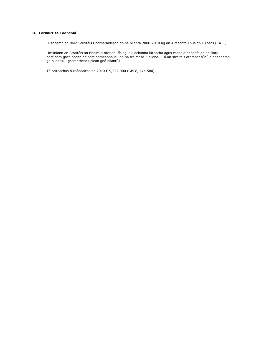### **8. Forbairt sa Todhchaí**

D'fhaomh an Bord Straitéis Chorparáideach do na blianta 2008-2010 ag an Aireachta Thuaidh / Theas (CATT).

Imlíníonn an Straitéis an Bhoird a misean, fís agus luachanna lárnacha agus conas a dhéanfaidh an Bord i bhfeidhm gach ceann dá bhfeidhmeanna le linn na tréimhse 3 bliana. Tá an straitéis athmheasúnú a dhéanamh go bliantúil i gcomhthéacs plean gnó bliantúil.

Tá caiteachas buiséadaithe do 2010 € 9,522,000 (GBP8, 474,580).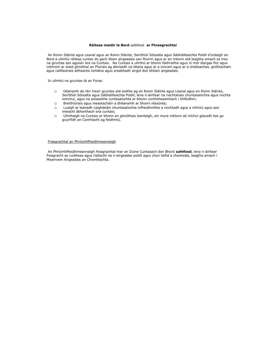#### **Ráiteas maidir le Bord** *safe*food **ar Fhreagrachtaí**

An Roinn Sláinte agus Leanaí agus an Roinn Sláinte, Seirbhísí Sóisialta agus Sábháilteachta Poiblí d'ordaigh an Bord a ullmhú ráiteas cuntas do gach bliain airgeadais san fhoirm agus ar an mbonn atá leagtha amach sa treo na gcuntas san aguisín leis na Cuntais. Na Cuntais a ullmhú ar bhonn fabhraithe agus ní mór léargas fíor agus cothrom ar staid ghnóthaí an Fhorais ag deireadh na bliana agus ar a ioncam agus ar a chaiteachas, gnóthachain agus caillteanais aitheanta iomlána agus sreabhadh airgid don bhliain airgeadais.

In ullmhú na gcuntas tá an Foras:

- o Déanamh de réir treoir gcuntas atá eisithe ag an Roinn Sláinte agus Leanaí agus an Roinn Sláinte, Seirbhísí Sóisialta agus Sábháilteachta Poiblí, lena n-áirítear na riachtanais chuntasaíochta agus nochta iomchuí, agus na polasaithe cuntasaíochta ar bhonn comhsheasmhach i bhfeidhm;
- o Breithiúnais agus meastacháin a dhéanamh ar bhonn réasúnta;
- o Luaigh ar leanadh caighdeáin chuntasaíochta infheidhmithe a nochtadh agus a mhíniú agus aon imeacht ábharthach sna cuntais;
- o Ullmhaigh na Cuntais ar bhonn an ghnóthais leantaigh, sin mura mbíonn sé míchuí glacadh leis go gcuirfidh an Comhlacht ag feidhmiú.

### Freagrachtaí an Phríomhfheidhmeannaigh

An Phríomhfheidhmeannaigh freagrachtaí mar an Duine Cuntasach don Bhord *safe***food**, lena n-áirítear freagracht as cuibheas agus rialtacht na n-airgeadas poiblí agus chun taifid a choimeád, leagtha amach i Meamram Airgeadais an Chomhlachta.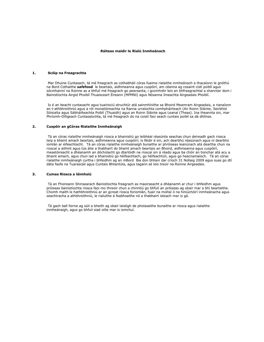### **Ráiteas maidir le Rialú Inmheánach**

#### **1. Scóip na Freagrachta**

Mar Dhuine Cuntasach, tá mé freagrach as cothabháil córas fuaime rialaithe inmheánach a thacaíonn le gnóthú na Bord Cothaithe *safe***food** le beartais, aidhmeanna agus cuspóirí, am céanna ag cosaint cistí poiblí agus sócmhainní na Roinne as a bhfuil mé freagrach go pearsanta, i gcomhréir leis an bhfreagrachtaí a shanntar dom i Bainistíochta Airgid Phoiblí Thuaisceart Éireann (MPMNI) agus Nósanna Imeachta Airgeadais Phoiblí.

Is é an beacht cuntasacht agus tuairisciú struchtúr atá sainmhínithe sa Bhoird Meamram Airgeadais, a rianaíonn an t-athbhreithniú agus a ról monatóireachta na Ranna urraíochta comhpháirteach (An Roinn Sláinte, Seirbhísí Sóisialta agus Sábháilteachta Poiblí (Thuaidh) agus an Roinn Sláinte agus Leanaí (Theas). Ina theannta sin, mar Phríomh-Oifigeach Cuntasaíochta, tá mé freagrach do na coistí faoi seach cuntais poiblí sa dá dhlínse.

### **2. Cuspóir an gCóras Rialaithe Inmheánaigh**

Tá an córas rialaithe inmheánaigh riosca a bhainistiú go leibhéal réasúnta seachas chun deireadh gach riosca teip a bhaint amach beartais, aidhmeanna agus cuspóirí; is féidir é sin, ach dearbhú réasúnach agus ní dearbhú iomlán ar éifeachtacht. Tá an córas rialaithe inmheánaigh bunaithe ar phróiseas leanúnach atá deartha chun na rioscaí a aithint agus tús áite a thabhairt do bhaint amach beartais an Bhoird, aidhmeanna agus cuspóirí, meastóireacht a dhéanamh an dóchúlacht go dtarlóidh na rioscaí sin á réadú agus ba chóir an tionchar atá acu a bhaint amach, agus chun iad a bhainistiú go héifeachtach, go héifeachtúil, agus go heacnamaíoch. Tá an córas rialaithe inmheánaigh curtha i bhfeidhm ag an mBord Bia don bhliain dar críoch 31 Nollaig 2009 agus suas go dtí dáta faofa na Tuarascáil agus Cuntais Bhliantúla, agus tagann sé leis treoir na Roinne Airgeadais.

#### **3. Cumas Riosca a láimhsiú**

Tá an Fhoireann Shinsearach Bainistíochta freagrach as maoirseacht a dhéanamh ar chur i bhfeidhm agus próiseas bainistíochta riosca faoi mo threoir chun a chinntiú go bhfuil an próiseas ag obair mar a bhí beartaithe. Chomh maith le hathbhreithniú ar an gcreat riosca foriomlán, fuair na moltaí ó na hiniúchóirí inmheánacha agus seachtracha a athbhreithniú, le rialuithe á feabhsaithe nó a thabhairt isteach mar is gá.

Tá gach ball foirne ag súil a bheith ag obair laistigh de pholasaithe bunaithe ar riosca agus rialaithe inmheánaigh, agus go bhfuil siad oilte mar is iomchuí.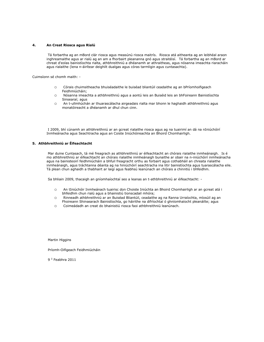### **4. An Creat Riosca agus Rialú**

Tá forbartha ag an mBord clár riosca agus measúnú riosca maitrís. Riosca atá aitheanta ag an leibhéal araon inghreamaithe agus ar rialú ag an am a fhorbairt pleananna gnó agus straitéisí. Tá forbartha ag an mBord ar chreat d'eolas bainistíochta rialta, athbhreithniú a dhéanamh ar athraitheas, agus nósanna imeachta riaracháin agus rialaithe (lena n-áirítear deighilt dualgas agus córas tarmligin agus cuntasachta).

Cuimsíonn sé chomh maith: -

- o Córais chuimsitheacha bhuiséadaithe le buiséad bliantúil ceadaithe ag an bPríomhoifigeach Feidhmiúcháin;
- o Nósanna imeachta a athbhreithniú agus a aontú leis an Buiséid leis an bhFoireann Bainistíochta Sinsearaí; agus
- o An t-ullmhúchán ar thuarascálacha airgeadais rialta mar bhonn le haghaidh athbhreithniú agus monatóireacht a dhéanamh ar dhul chun cinn.

I 2009, bhí cúnamh an athbhreithniú ar an gcreat rialaithe riosca agus ag na tuairimí an dá na nIniúchóirí Inmheánacha agus Seachtracha agus an Coiste Iniúchóireachta an Bhoird Chomhairligh.

#### **5. Athbhreithniú ar Éifeachtacht**

Mar duine Cuntasach, tá mé freagrach as athbhreithniú ar éifeachtacht an chórais rialaithe inmheánaigh. Is é mo athbhreithniú ar éifeachtacht an chórais rialaithe inmheánaigh bunaithe ar obair na n-iniúchóirí inmheánacha agus na bainisteoirí feidhmiúcháin a bhfuil freagracht orthu as forbairt agus cothabháil an chreata rialaithe inmheánaigh, agus tráchtanna déanta ag na hiniúchóirí seachtracha ina litir bainistíochta agus tuarascálacha eile. Tá plean chun aghaidh a thabhairt ar laigí agus feabhsú leanúnach an chórais a chinntiú i bhfeidhm.

Sa bhliain 2009, thacaigh an gníomhaíochtaí seo a leanas an t-athbhreithniú ar éifeachtacht: -

- o An tIniúchóir Inmheánach tuairisc don Choiste Iniúchta an Bhoird Chomhairligh ar an gcreat atá i bhfeidhm chun rialú agus a bhainistiú tionscadail mhóra;
- o Rinneadh athbhreithniú ar an Buiséad Bliantúil, ceadaithe ag na Ranna Urraíochta, míosúil ag an Fhoireann Shinsearach Bainistíochta, go háirithe na difríochtaí ó ghníomhaíocht pleanáilte; agus
- o Coimeádadh an creat do bhainistiú riosca faoi athbhreithniú leanúnach.

Martin Higgins

Príomh-Oifigeach Feidhmiúcháin

9 <sup>ú</sup> Feabhra 2011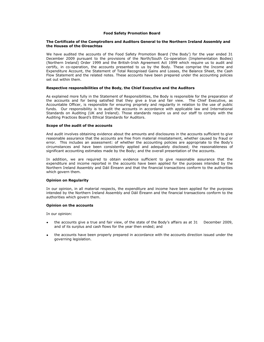### **Food Safety Promotion Board**

### **The Certificate of the Comptrollers and Auditors General to the Northern Ireland Assembly and the Houses of the Oireachtas**

We have audited the accounts of the Food Safety Promotion Board ('the Body') for the year ended 31 December 2009 pursuant to the provisions of the North/South Co-operation (Implementation Bodies) (Northern Ireland) Order 1999 and the British-Irish Agreement Act 1999 which require us to audit and certify, in co-operation, the accounts presented to us by the Body. These comprise the Income and Expenditure Account, the Statement of Total Recognised Gains and Losses, the Balance Sheet, the Cash Flow Statement and the related notes. These accounts have been prepared under the accounting policies set out within them.

### **Respective responsibilities of the Body, the Chief Executive and the Auditors**

As explained more fully in the Statement of Responsibilities, the Body is responsible for the preparation of the accounts and for being satisfied that they give a true and fair view. The Chief Executive, as Accountable Officer, is responsible for ensuring propriety and regularity in relation to the use of public funds. Our responsibility is to audit the accounts in accordance with applicable law and International Standards on Auditing (UK and Ireland). Those standards require us and our staff to comply with the Auditing Practices Board's Ethical Standards for Auditors.

### **Scope of the audit of the accounts**

And audit involves obtaining evidence about the amounts and disclosures in the accounts sufficient to give reasonable assurance that the accounts are free from material misstatement, whether caused by fraud or error. This includes an assessment: of whether the accounting policies are appropriate to the Body's circumstances and have been consistently applied and adequately disclosed; the reasonableness of significant accounting estimates made by the Body; and the overall presentation of the accounts.

In addition, we are required to obtain evidence sufficient to give reasonable assurance that the expenditure and income reported in the accounts have been applied for the purposes intended by the Northern Ireland Assembly and Dáil Éireann and that the financial transactions conform to the authorities which govern them.

### **Opinion on Regularity**

In our opinion, in all material respects, the expenditure and income have been applied for the purposes intended by the Northern Ireland Assembly and Dáil Éireann and the financial transactions conform to the authorities which govern them.

#### **Opinion on the accounts**

In our opinion:

- the accounts give a true and fair view, of the state of the Body's affairs as at 31 December 2009, and of its surplus and cash flows for the year then ended; and
- the accounts have been properly prepared in accordance with the accounts direction issued under the governing legislation.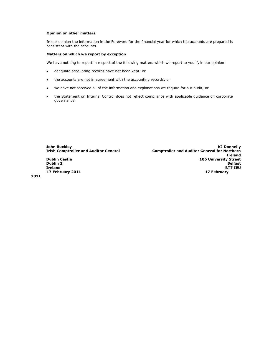### **Opinion on other matters**

In our opinion the information in the Foreword for the financial year for which the accounts are prepared is consistent with the accounts.

### **Matters on which we report by exception**

We have nothing to report in respect of the following matters which we report to you if, in our opinion:

- adequate accounting records have not been kept; or  $\bullet$
- the accounts are not in agreement with the accounting records; or  $\bullet$
- we have not received all of the information and explanations we require for our audit; or  $\bullet$
- the Statement on Internal Control does not reflect compliance with applicable guidance on corporate  $\bullet$ governance.

**John Buckley KJ Donnelly Comptroller and Auditor General for Northern Ireland Dublin Castle 106 University Street Dublin 2 Belfast Ireland BT7 IEU 17 February 2011 17 February** 

**2011**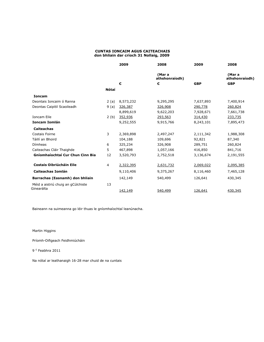### **CUNTAS IONCAIM AGUS CAITEACHAIS don bhliain dar críoch 31 Nollaig, 2009**

|                                         |              | 2009      | 2008                     | 2009       | 2008                     |
|-----------------------------------------|--------------|-----------|--------------------------|------------|--------------------------|
|                                         |              |           | (Mar a<br>athshonraíodh) |            | (Mar a<br>athshonraíodh) |
|                                         |              | €         | €                        | <b>GBP</b> | <b>GBP</b>               |
|                                         | <b>Nótaí</b> |           |                          |            |                          |
| <b>Ioncam</b>                           |              |           |                          |            |                          |
| Deontais Ioncaim ó Ranna                | 2(a)         | 8,573,232 | 9,295,295                | 7,637,893  | 7,400,914                |
| Deontas Caipitil Scaoileadh             | 9(a)         | 326,387   | 326,908                  | 290,778    | 260,824                  |
|                                         |              | 8,899,619 | 9,622,203                | 7,928,671  | 7,661,738                |
| <b>Ioncam Eile</b>                      | 2(b)         | 352,936   | 293,563                  | 314,430    | 233,735                  |
| <b>Ioncam Iomlán</b>                    |              | 9,252,555 | 9,915,766                | 8,243,101  | 7,895,473                |
| <b>Caiteachas</b>                       |              |           |                          |            |                          |
| Costais Foirne                          | 3            | 2,369,898 | 2,497,247                | 2,111,342  | 1,988,308                |
| Táillí an Bhoird                        |              | 104,188   | 109,696                  | 92,821     | 87,340                   |
| Dímheas                                 | 6            | 325,234   | 326,908                  | 289,751    | 260,824                  |
| Caiteachas Cláir Thaighde               | 5            | 467,898   | 1,057,166                | 416,850    | 841,716                  |
| <b>Gníomhaíochtaí Cur Chun Cinn Bia</b> | 12           | 3,520,793 | 2,752,518                | 3,136,674  | 2,191,555                |
| <b>Costais Oibriúcháin Eile</b>         | 4            | 2,322,395 | 2,631,732                | 2,069,022  | 2,095,385                |
| <b>Caiteachas Iomlán</b>                |              | 9,110,406 | 9,375,267                | 8,116,460  | 7,465,128                |
| Barrachas (Easnamh) don bhliain         |              | 142,149   | 540,499                  | 126,641    | 430,345                  |
| Méid a aistriú chuig an gCúlchiste      | 13           |           |                          |            |                          |
| Ginearálta                              |              | 142,149   | 540,499                  | 126,641    | 430,345                  |

Baineann na suimeanna go léir thuas le gníomhaíochtaí leanúnacha.

Martin Higgins

Príomh-Oifigeach Feidhmiúcháin

9 <sup>ú</sup> Feabhra 2011

Na nótaí ar leathanaigh 16-28 mar chuid de na cuntais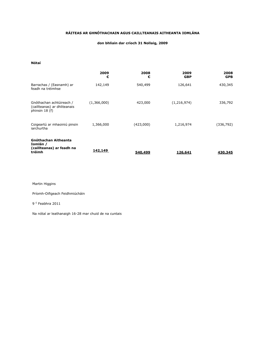### **RÁITEAS AR GHNÓTHACHAIN AGUS CAILLTEANAIS AITHEANTA IOMLÁNA**

### **don bhliain dar críoch 31 Nollaig, 2009**

**Nótaí**

|                                                                                | 2009<br>€   | 2008<br>€ | 2009<br><b>GBP</b> | 2008<br><b>GPB</b> |
|--------------------------------------------------------------------------------|-------------|-----------|--------------------|--------------------|
| Barrachas / (Easnamh) ar<br>feadh na tréimhse                                  | 142,149     | 540,499   | 126,641            | 430,345            |
| Gnóthachan achtúireach /<br>(caillteanas) ar dhliteanais<br>phinsin 18 (f)     | (1,366,000) | 423,000   | (1, 216, 974)      | 336,792            |
| Coigeartú ar mhaoiniú pinsin<br>iarchurtha                                     | 1,366,000   | (423,000) | 1,216,974          | (336, 792)         |
| <b>Gnóthachan Aitheanta</b><br>Iomlán /<br>(caillteanas) ar feadh na<br>tréimh | 142,149     | 540,499   | 126,641            | 430,345            |

Martin Higgins

Príomh-Oifigeach Feidhmiúcháin

#### 9 <sup>ú</sup> Feabhra 2011

Na nótaí ar leathanaigh 16-28 mar chuid de na cuntais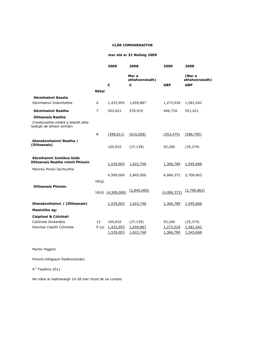### **CLÁR COMHARDAITHE**

### **mar atá ar 31 Nollaig 2009**

|                                                                                              |                | 2009                   | 2008                         | 2009                   | 2008                                   |
|----------------------------------------------------------------------------------------------|----------------|------------------------|------------------------------|------------------------|----------------------------------------|
|                                                                                              |                | €                      | Mar a<br>athshonraíodh)<br>€ | <b>GBP</b>             | (Mar a<br>athshonraíodh)<br><b>GBP</b> |
|                                                                                              | <b>Nótaí</b>   |                        |                              |                        |                                        |
| Sócmhainní Seasta<br>Sócmhainní Inláimhsithe                                                 |                |                        |                              |                        |                                        |
|                                                                                              | 6              | 1,433,993              | 1,659,887                    | 1,273,529              | 1,581,042                              |
| Sócmhainní Reatha                                                                            | $\overline{7}$ | 503,021                | 578,919                      | 446,734                | 551,421                                |
| <b>Dliteanais Reatha</b><br>Creidiúnaithe-mhéid a bheidh dlite<br>laistigh de bhliain amháin |                |                        |                              |                        |                                        |
|                                                                                              | 8              | (398, 011)             | (616, 058)                   | (353, 474)             | (586, 795)                             |
| Glansócmhainní Reatha /<br>(Dliteanais)                                                      |                | 105,010                | (37, 139)                    | 93,260                 | (35, 374)                              |
| Sócmhainní Iomlána lúide<br><b>Dliteanais Reatha roimh Phinsin</b>                           |                | 1,539,003              | 1,622,748                    | 1,366,789              | 1,545,668                              |
| Maoiniú Pinsin Iarchurtha                                                                    |                |                        |                              |                        |                                        |
|                                                                                              | 18(g)          | 4,599,000              | 2,845,000                    | 4,084,372              | 2,709,863                              |
| <b>Dliteanais Phinsin</b>                                                                    |                | 18(d) (4,599,000)      | (2,845,000)                  | (4,084,372)            | (2,709,863)                            |
| Glansócmhainní / (Dliteanais)                                                                |                | 1,539,003              | 1,622,748                    | 1,366,789              | 1,545,668                              |
| <b>Maoinithe ag:</b>                                                                         |                |                        |                              |                        |                                        |
| Caipiteal & Cúlchistí                                                                        |                |                        |                              |                        |                                        |
| Cúlchiste Ginearálta                                                                         | 13             | 105,010                | (37, 139)                    | 93,260                 | (35, 374)                              |
| Deontas Caipitil Cúlchiste                                                                   | 9(a)           | 1,433,993<br>1,539,003 | 1,659,887<br>1,622,748       | 1,273,529<br>1,366,789 | 1,581,042<br>1,545,668                 |

Martin Higgins

Príomh-Oifigeach Feidhmiúcháin

9 <sup>ú</sup> Feabhra 2011

Na nótaí ar leathanaigh 16-28 mar chuid de na cuntais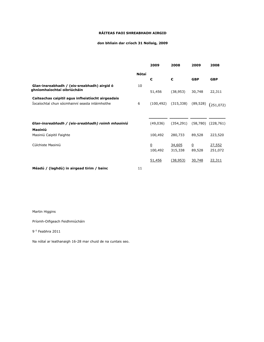### **RÁITEAS FAOI SHREABHADH AIRGID**

# **don bhliain dar críoch 31 Nollaig, 2009**

|                                                                            |       | 2009           | 2008          | 2009           | 2008          |
|----------------------------------------------------------------------------|-------|----------------|---------------|----------------|---------------|
|                                                                            | Nótaí |                |               |                |               |
|                                                                            |       | €              | €             | <b>GBP</b>     | <b>GBP</b>    |
| Glan-insreabhadh / (eis-sreabhadh) airgid ó<br>ghníomhaíochtaí oibriúcháin | 10    | 51,456         | (38, 953)     | 30,748         | 22,311        |
|                                                                            |       |                |               |                |               |
| Caiteachas caipitil agus infheistíocht airgeadais                          |       |                |               |                |               |
| Íocaíochtaí chun sócmhainní seasta inláimhsithe                            | 6     | (100, 492)     | (315, 338)    | (89, 528)      | (251,072)     |
|                                                                            |       |                |               |                |               |
|                                                                            |       |                |               |                |               |
| Glan-insreabhadh / (eis-sreabhadh) roimh mhaoiniú                          |       | (49,036)       | (354, 291)    | (58, 780)      | (228, 761)    |
| Maoiniú                                                                    |       |                |               |                |               |
| Maoiniú Caipitil Faighte                                                   |       | 100,492        | 280,733       | 89,528         | 223,520       |
|                                                                            |       |                |               |                |               |
| Cúlchiste Maoiniú                                                          |       | $\overline{0}$ | <u>34,605</u> | $\overline{0}$ | <u>27,552</u> |
|                                                                            |       | 100,492        | 315,338       | 89,528         | 251,072       |
|                                                                            |       |                |               |                |               |
|                                                                            |       | 51,456         | (38, 953)     | 30,748         | 22,311        |
| Méadú / (laghdú) in airgead tirim / bainc                                  | 11    |                |               |                |               |
|                                                                            |       |                |               |                |               |

### Martin Higgins

Príomh-Oifigeach Feidhmiúcháin

9 <sup>ú</sup> Feabhra 2011

Na nótaí ar leathanaigh 16-28 mar chuid de na cuntais seo.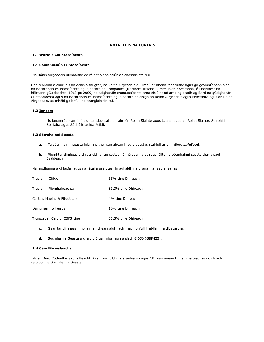### **NÓTAÍ LEIS NA CUNTAIS**

### **1. Beartais Chuntasaíochta**

#### **1.1 Coinbhinsiún Cuntasaíochta**

Na Ráitis Airgeadais ullmhaithe de réir choinbhinsiún an chostais stairiúil.

Gan teorainn a chur leis an eolas a thugtar, na Ráitis Airgeadais a ullmhú ar bhonn fabhruithe agus go gcomhlíonann siad na riachtanais chuntasaíochta agus nochta an Companies (Northern Ireland) Order 1986 hAchtanna, ó Phoblacht na hÉireann gCuideachtaí 1963 go 2009, na caighdeáin chuntasaíochta arna eisiúint nó arna nglacadh ag Bord na gCaighdeán Cuntasaíochta agus na riachtanais chuntasaíochta agus nochta ad'eisigh an Roinn Airgeadais agus Pearsanra agus an Roinn Airgeadais, sa mhéid go bhfuil na ceanglais sin cuí.

### **1.2 Ioncam**

Is ionann Ioncam infhaighte ndeontais ioncaim ón Roinn Sláinte agus Leanaí agus an Roinn Sláinte, Seirbhísí Sóisialta agus Sábháilteachta Poiblí.

### **1.3 Sócmhainní Seasta**

- **a.** Tá sócmhainní seasta inláimhsithe san áireamh ag a gcostas stairiúil ar an mBord *safe***food**.
- **b.** Ríomhtar dímheas a dhíscríobh ar an costas nó méideanna athluacháilte na sócmhainní seasta thar a saol úsáideach.

Na modhanna a ghlacfar agus na rátaí a úsáidtear in aghaidh na bliana mar seo a leanas:

| Trealamh Oifige                | 15% Líne Dhíreach   |
|--------------------------------|---------------------|
| Trealamh Ríomhaireachta        | 33.3% Líne Dhíreach |
| Costais Maoine & Fitout Líne   | 4% Líne Dhíreach    |
| Daingneáin & Feistis           | 10% Líne Dhíreach   |
| Tionscadail Caipitil CBFS Líne | 33.3% Líne Dhíreach |

- **c.** Gearrtar dímheas i mbliain an cheannaigh, ach nach bhfuil i mbliain na diúscartha.
- **d.** Sócmhainní Seasta a chaipitliú uair níos mó ná siad € 650 (GBP423).

#### **1.4 Cáin Bhreisluacha**

Níl an Bord Cothaithe Sábháilteacht Bhia i riocht CBL a aiséileamh agus CBL san áireamh mar chaiteachas nó i luach caipitiúil na Sócmhainní Seasta.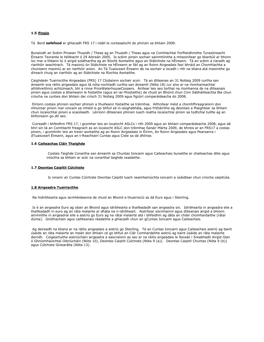### **1.5 Pinsin**

Tá Bord *safe***food** ar ghlacadh FRS 17 i ndáil le cuntasaíocht do phinsin sa bhliain 2009.

Bunaíodh an Scéim Pinsean Thuaidh / Theas ag an Thuaidh / Theas agus na Comhlachtaí Forfheidhmithe Turasóireacht Éireann Teoranta le héifeacht ó 29 Aibreán 2005. Is scéim pinsin sochair sainmhínithe a mhaoinítear go bliantúil ar bhonn íoc mar a théann tú ó airgid soláthartha ag an Ríocht Aontaithe agus an Státchiste na hÉireann. Tá an scéim á riaradh ag riarthóir seachtrach. Tá maoiniú ón Státchiste na hÉireann ar fáil ag an Roinn Airgeadais faoi bhráid an Chomhlachta a chuireann maoiniú ar an riarthóir ansin. An Tá Tuaisceart Éireann de na sochair a íocadh i rith na bliana atá maoinithe go díreach chuig an riarthóir ag an Státchiste na Ríochta Aontaithe.

Caighdeán Tuairiscithe Airgeadais (FRS) 17 Clúdaíonn sochair scoir. Tá an dliteanas an 31 Nollaig 2009 curtha san áireamh sna ráitis airgeadais agus tá nóta nochtadh curtha san áireamh (Nóta 18) cur síos ar na ríomhaireachtaí athbhreithniú achtúireach, bhí a rinne PriceWaterhouseCoopers. Áirítear leis seo torthaí na ríomhanna de na dliteanais pinsin agus costais a bhaineann le fostaithe (agus an iar-fhostaithe) de chuid an Bhoird chun Cinn Sábháilteachta Bia chun críocha na cuntais don bhliain dar críoch 31 Nollaig 2009 agus figiúirí comparáideacha do 2008.

Eiríonn costais phinsin sochair phinsin a thuilleann fostaithe sa tréimhse. Aithnítear méid a chomhfhreagraíonn don mhuirear pinsin mar ioncam sa mhéid is go bhfuil sé in-aisghabhála, agus fritháirithe ag deontais a fhaightear sa bhliain chun íocaíochtaí pinsin a scaoileadh. Léiríonn dliteanais phinsin luach reatha íocaíochtaí pinsin sa todhchaí tuillte ag an bhfoireann go dtí seo.

Cuireadh i bhfeidhm FRS 17, i gcomhar leis an íocaíocht ASLCs i rith 2009 agus an bhliain comparáideacha 2008, agus dá bhrí sin tá an Comhlacht freagrach as an íocaíocht ASLC don tréimhse Eanáir-Márta 2009, de bhreis ar an FRS17 a costas pinsin, i gcomhréir leis an treoir aontaithe ag an Roinn Airgeadais in Éirinn, An Roinn Airgeadais agus Pearsanra i dTuaisceart Éireann, agus an t-Reachtairí Cuntas agus Ciste sa dá dhlínse.

#### **1.6 Caiteachas Cláir Thaighde**

Costais Taighde Conartha san áireamh sa Chuntas Ioncaim agus Caiteachais bunaithe ar chaiteachas dlite agus iníoctha sa bhliain ar scór na conarthaí taighde ceadaithe.

#### **1.7 Deontas Caipitil Cúlchiste**

Is ionann an Cuntas Cúlchiste Deontas Caipitil luach neamhamúchta ioncaim a úsáidtear chun críocha caipitiúla.

#### **1.8 Airgeadra Tuairiscithe**

Na hidirbhearta agus iarmhéideanna de chuid an Bhoird a thuairisciú sa dá Euro agus i Steirling.

Is é an airgeadra Euro ag obair an Bhoird agus idirbhearta a thaifeadadh san airgeadra sin. Idirbhearta in airgeadra eile a thaifeadadh in euro ag an ráta malairte ar dháta na n-idirbheart. Aistrítear sócmhainní agus dliteanais airgid a bhíonn ainmnithe in airgeadraí eile a aistriú go Euro ag na rátaí malairte atá i bhfeidhm ag dáta an chláir chomhardaithe (rátaí dúnta). Gnóthachain agus caillteanais réadaithe a ghlacadh chun an gCuntas Ioncaim agus Caiteachais.

Ag deireadh na bliana ar na ráitis airgeadais a aistriú go Steirling. Tá an Cuntas Ioncaim agus Caiteachais aistriú ag baint úsáide an ráta malairte an meán don bhliain cé go bhfuil an Clár Comhardaithe aistriú ag baint úsáide an ráta malairte deiridh. Coigeartuithe aistriúcháin airgeadra a eascraíonn as seo ar na ráitis airgeadais le feiceáil i Sreabhadh Airgid Glan ó Ghníomhaíochtaí Oibriúcháin (Nóta 10), Deontas Caipitil Cúlchiste (Nóta 9 (a)). Deontas Caipitil Chuntas (Nóta 9 (b)) agus Cúlchiste Ginearálta (Nóta 13).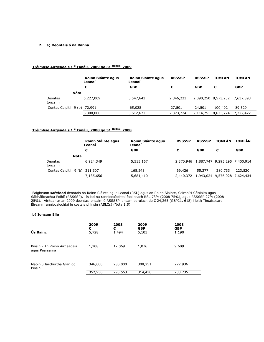### **2. a) Deontais ó na Ranna**

### **Tréimhse Airgeadais 1 <sup>ú</sup> Eanáir, 2009 go 31 Nollaig, 2009**

|                              |      | Roinn Sláinte agus<br>Leanaí | Roinn Sláinte agus<br>Leanaí | <b>RSSSSP</b> | <b>RSSSSP</b>       | <b>IOMLÁN</b>       | <b>IOMLÁN</b> |
|------------------------------|------|------------------------------|------------------------------|---------------|---------------------|---------------------|---------------|
|                              |      | €                            | <b>GBP</b>                   | €             | <b>GBP</b>          | €                   | <b>GBP</b>    |
|                              | Nóta |                              |                              |               |                     |                     |               |
| Deontas<br>Ioncaim           |      | 6,227,009                    | 5,547,643                    | 2,346,223     |                     | 2,090,250 8,573,232 | 7,637,893     |
| Cuntas Caipitil 9 (b) 72,991 |      |                              | 65,028                       | 27,501        | 24,501              | 100,492             | 89,529        |
|                              |      | 6,300,000                    | 5,612,671                    | 2,373,724     | 2,114,751 8,673,724 |                     | 7.727.422     |

### **Tréimhse Airgeadais 1 <sup>ú</sup> Eanáir, 2008 go 31 Nollaig, 2008**

|                       |      | Roinn Sláinte agus<br>Leanaí | <b>Roinn Sláinte agus</b><br>Leanaí | <b>RSSSSP</b> | <b>RSSSSP</b>                 | <b>IOMLÁN</b>                 | <b>IOMLÁN</b> |
|-----------------------|------|------------------------------|-------------------------------------|---------------|-------------------------------|-------------------------------|---------------|
|                       |      | €                            | <b>GBP</b>                          | €             | <b>GBP</b>                    | €                             | <b>GBP</b>    |
|                       | Nóta |                              |                                     |               |                               |                               |               |
| Deontas<br>Ioncaim    |      | 6,924,349                    | 5,513,167                           | 2,370,946     | 1,887,747 9,295,295 7,400,914 |                               |               |
| Cuntas Caipitil 9 (b) |      | 211,307                      | 168,243                             | 69,426        | 55,277                        | 280,733                       | 223,520       |
|                       |      | 7,135,656                    | 5,681,410                           | 2,440,372     |                               | 1,943,024 9,576,028 7,624,434 |               |

Faigheann *safe***food** deontais ón Roinn Sláinte agus Leanaí (RSL) agus an Roinn Sláinte, Seirbhísí Sóisialta agus Sábháilteachta Poiblí (RSSSSP). Is iad na ranníocaíochtaí faoi seach RSL 73% (2008 75%), agus RSSSSP 27% (2008 25%). Áirítear ar an 2009 deontas ioncaim ó RSSSSP ioncam barúlach de € 24,265 (GBP21, 618) i leith Thuaisceart Éireann ranníocaíochtaí le costais phinsin (ASLCs) (Nóta 1.5)

### **b) Ioncam Eile**

| Ús Bainc                                       | 2009    | 2008    | 2009       | 2008       |
|------------------------------------------------|---------|---------|------------|------------|
|                                                | €       | €       | <b>GBP</b> | <b>GBP</b> |
|                                                | 5,728   | 1,494   | 5,103      | 1,190      |
| Pinsin - An Roinn Airgeadais<br>agus Pearsanra | 1,208   | 12,069  | 1,076      | 9,609      |
| Maoiniú Iarchurtha Glan do                     | 346,000 | 280,000 | 308,251    | 222,936    |
| Pinsin                                         | 352,936 | 293,563 | 314,430    | 233,735    |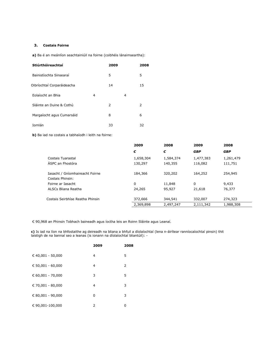### **3. Costais Foirne**

**a)** Ba é an meánlíon seachtainiúil na foirne (coibhéis lánaimseartha):

| Stiúrthóireachtaí          |   | 2009 |   | 2008 |
|----------------------------|---|------|---|------|
| Bainistíochta Sinsearaí    |   | 5    |   | 5    |
| Oibríochtaí Corparáideacha |   | 14   |   | 15   |
| Eolaíocht an Bhia          | 4 |      | 4 |      |
| Sláinte an Duine & Cothú   |   | 2    |   | 2    |
| Margaíocht agus Cumarsáid  |   | 8    |   | 6    |
| Iomlán                     |   | 33   |   | 32   |

**b)** Ba iad na costais a tabhaíodh i leith na foirne:

|                                  | 2009      | 2008      | 2009       | 2008       |
|----------------------------------|-----------|-----------|------------|------------|
|                                  | €         | €         | <b>GBP</b> | <b>GBP</b> |
| Costais Tuarastal                | 1,658,304 | 1,584,374 | 1,477,383  | 1,261,479  |
| ÁSPC an Fhostóra                 | 130,297   | 140,355   | 116,082    | 111,751    |
| Iasacht / Gníomhaireacht Foirne  | 184,366   | 320,202   | 164,252    | 254,945    |
| Costais Phinsin:                 |           |           |            |            |
| Foirne ar Iasacht                | 0         | 11,848    | 0          | 9,433      |
| ALSCs Bliana Reatha              | 24,265    | 95,927    | 21,618     | 76,377     |
| Costais Seirbhíse Reatha Phinsin | 372,666   | 344,541   | 332,007    | 274,323    |
|                                  | 2,369,898 | 2,497,247 | 2,111,342  | 1,988,308  |

€ 90,968 an Phinsin Tobhach baineadh agus íoctha leis an Roinn Sláinte agus Leanaí.

**c)** Is iad na líon na bhfostaithe ag deireadh na bliana a bhfuil a díolaíochtaí (lena n-áirítear ranníocaíochtaí pinsin) thit laistigh de na bannaí seo a leanas (is ionann na díolaíochtaí bliantúil): -

|                   | 2009 | 2008 |
|-------------------|------|------|
| € 40,001 - 50,000 | 4    | 5    |
| € 50,001 - 60,000 | 4    | 2    |
| € 60,001 - 70,000 | 3    | 5    |
| € 70,001 - 80,000 | 4    | 3    |
| € 80,001 - 90,000 | 0    | 3    |
| € 90,001-100,000  | 2    | 0    |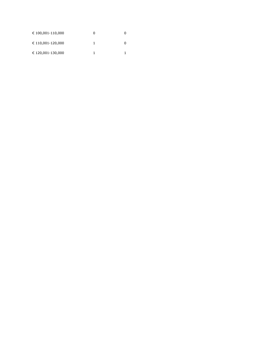| € 100,001-110,000 | 0 |  |
|-------------------|---|--|
| € 110,001-120,000 |   |  |
| € 120,001-130,000 |   |  |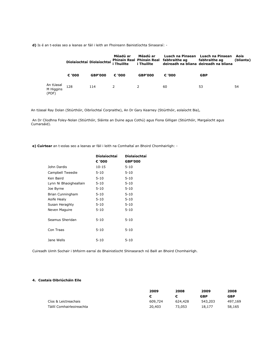**d)** Is é an t-eolas seo a leanas ar fáil i leith an Fhoireann Bainistíochta Sinsearaí: -

|                                 | Díolaíochtaí Díolaíochtaí |                | Méadú ar<br><b>Thuillte</b> | Méadú ar<br>i Thuillte | Luach na Pinsean<br>Phinsin Real Phinsin Real fabhraithe ag<br>deireadh na bliana deireadh na bliana | Luach na Pinsean<br>fabhraithe ag | Aois<br>(blianta) |
|---------------------------------|---------------------------|----------------|-----------------------------|------------------------|------------------------------------------------------------------------------------------------------|-----------------------------------|-------------------|
|                                 | € '000                    | <b>GBP'000</b> | € '000                      | <b>GBP'000</b>         | € '000                                                                                               | <b>GBP</b>                        |                   |
| An tUasal<br>M Higgins<br>(POF) | 128                       | 114            | 2                           |                        | 60                                                                                                   | 53                                | 54                |

An tUasal Ray Dolan (Stiúrthóir, Oibríochtaí Corpraithe), An Dr Gary Kearney (Stiúrthóir, eolaíocht Bia),

An Dr Cliodhna Foley-Nolan (Stiúrthóir, Sláinte an Duine agus Cothú) agus Fiona Gilligan (Stiúrthóir, Margaíocht agus Cumarsáid).

**e) Cuirtear** an t-eolas seo a leanas ar fáil i leith na Comhaltaí an Bhoird Chomhairligh: -

|                        | Díolaíochtaí | Díolaíochtaí   |
|------------------------|--------------|----------------|
|                        | € '000       | <b>GBP'000</b> |
| John Dardis            | 10-15        | $5 - 10$       |
| Campbell Tweedie       | $5 - 10$     | $5 - 10$       |
| Ken Baird              | $5 - 10$     | $5 - 10$       |
| Lynn Ni Bhaoigheallain | $5 - 10$     | $5 - 10$       |
| Joe Byrne              | $5 - 10$     | $5 - 10$       |
| Brian Cunningham       | $5 - 10$     | $5 - 10$       |
| Aoife Healy            | $5 - 10$     | $5 - 10$       |
| Susan Heraghty         | $5 - 10$     | $5 - 10$       |
| Neven Maguire          | $5 - 10$     | $5 - 10$       |
| Seamus Sheridan        | $5 - 10$     | $5 - 10$       |
| Con Traas              | $5 - 10$     | $5 - 10$       |
| Jane Wells             | $5 - 10$     | $5 - 10$       |

Cuireadh Uimh Sochair i bhfoirm earraí do Bhainistíocht Shinsearach nó Baill an Bhoird Chomhairligh.

### **4. Costais Oibriúcháin Eile**

|                           | 2009    | 2008    | 2009       | 2008       |
|---------------------------|---------|---------|------------|------------|
|                           |         |         | <b>GBP</b> | <b>GBP</b> |
| Cíos & Leictreachais      | 609,724 | 624,428 | 543,203    | 497,169    |
| Táillí Comhairleoireachta | 20,403  | 73,053  | 18,177     | 58,165     |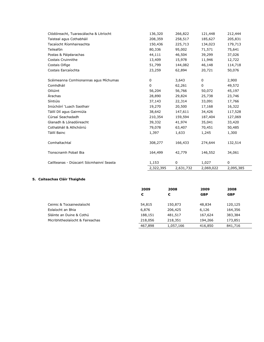| Clódóireacht, Tuarascálacha & Litríocht   | 136,320     | 266,822   | 121,448     | 212,444   |
|-------------------------------------------|-------------|-----------|-------------|-----------|
| Taisteal agus Cothabháil                  | 208,359     | 258,517   | 185,627     | 205,831   |
| Tacaíocht Ríomhaireachta                  | 150,436     | 225,713   | 134,023     | 179,713   |
| Teileafón                                 | 80,336      | 95,002    | 71,571      | 75,641    |
| Postas & Páipéarachas                     | 44,111      | 46,504    | 39,299      | 37,026    |
| Costais Cruinnithe                        | 13,409      | 15,978    | 11,946      | 12,722    |
| Costais Oifige                            | 51,799      | 144,082   | 46,148      | 114,718   |
| Costais Earcaíochta                       | 23,259      | 62,894    | 20,721      | 50,076    |
| Scéimeanna Comhionannas agus Míchumas     | 0           | 3,643     | $\mathbf 0$ | 2,900     |
| Comhdháil                                 | $\mathbf 0$ | 62,261    | 0           | 49,572    |
| Oiliúint                                  | 56,204      | 56,766    | 50,072      | 45,197    |
| <b>Árachas</b>                            | 28,890      | 29,824    | 25,738      | 23,746    |
| Síntiúis                                  | 37,143      | 22,314    | 33,091      | 17,766    |
| Iniúchóirí 'Luach Saothair                | 19,270      | 20,500    | 17,168      | 16,322    |
| Táillí Dlí agus Gairmiúla                 | 38,642      | 147,611   | 34,426      | 117,528   |
| Cúrsaí Seachadadh                         | 210,354     | 159,594   | 187,404     | 127,069   |
| Glanadh & Lónadóireacht                   | 39,332      | 41,974    | 35,041      | 33,420    |
| Cothabháil & Athchóiriú                   | 79,078      | 63,407    | 70,451      | 50,485    |
| Táillí Bainc                              | 1,397       | 1,633     | 1,245       | 1,300     |
| Comhaltachtaí                             | 308,277     | 166,433   | 274,644     | 132,514   |
| Tionscnamh Pobail Bia                     | 164,499     | 42,779    | 146,552     | 34,061    |
| Caillteanas - Diúscairt Sócmhainní Seasta | 1,153       | 0         | 1,027       | 0         |
|                                           | 2,322,395   | 2,631,732 | 2,069,022   | 2,095,385 |

### **5. Caiteachas Cláir Thaighde**

|                                  | 2009    | 2008      | 2009       | 2008       |
|----------------------------------|---------|-----------|------------|------------|
|                                  | €       | €         | <b>GBP</b> | <b>GBP</b> |
|                                  |         |           |            |            |
| Ceimic & Tocsaineolaíocht        | 54,815  | 150,873   | 48,834     | 120,125    |
| Eolaíocht an Bhia                | 6,876   | 206,425   | 6,126      | 164,356    |
| Sláinte an Duine & Cothú         | 188,151 | 481,517   | 167,624    | 383,384    |
| Micribhitheolaíocht & Faireachas | 218,056 | 218,351   | 194,266    | 173,851    |
|                                  | 467,898 | 1,057,166 | 416,850    | 841,716    |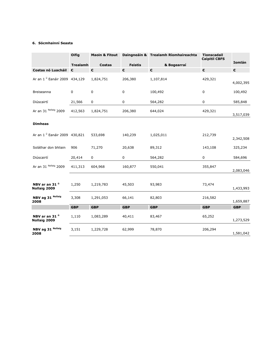### **6. Sócmhainní Seasta**

|                                           | <b>Oifig</b>    | <b>Maoin &amp; Fitout</b><br>Daingneáin & Trealamh Ríomhaireachta |                |                  | <b>Tionscadail</b><br><b>Caipitil CBFS</b> |               |
|-------------------------------------------|-----------------|-------------------------------------------------------------------|----------------|------------------|--------------------------------------------|---------------|
|                                           | <b>Trealamh</b> | <b>Costas</b>                                                     | <b>Feistis</b> | & Bogearraí      |                                            | <b>Iomlán</b> |
| Costas nó Luacháil €                      |                 | €                                                                 | €              | $\pmb{\epsilon}$ | $\boldsymbol{\epsilon}$                    | €             |
| Ar an 1 <sup>ú</sup> Eanáir 2009 434,129  |                 | 1,824,751                                                         | 206,380        | 1,107,814        | 429,321                                    | 4,002,395     |
| Breiseanna                                | $\mathbf 0$     | 0                                                                 | 0              | 100,492          | 0                                          | 100,492       |
| Diúscairtí                                | 21,566          | 0                                                                 | 0              | 564,282          | 0                                          | 585,848       |
| Ar an 31 Nollaig 2009                     | 412,563         | 1,824,751                                                         | 206,380        | 644,024          | 429,321                                    | 3,517,039     |
| <b>Dímheas</b>                            |                 |                                                                   |                |                  |                                            |               |
| Ar an 1 <sup>ú</sup> Eanáir 2009 430,821  |                 | 533,698                                                           | 140,239        | 1,025,011        | 212,739                                    | 2,342,508     |
| Soláthar don bhliain                      | 906             | 71,270                                                            | 20,638         | 89,312           | 143,108                                    | 325,234       |
| Diúscairtí                                | 20,414          | $\mathbf 0$                                                       | $\mathbf 0$    | 564,282          | 0                                          | 584,696       |
| Ar an 31 Nollaig 2009                     | 411,313         | 604,968                                                           | 160,877        | 550,041          | 355,847                                    | 2,083,046     |
| NBV ar an 31 <sup>ú</sup><br>Nollaig 2009 | 1,250           | 1,219,783                                                         | 45,503         | 93,983           | 73,474                                     | 1,433,993     |
| NBV ag 31 Nollaig<br>2008                 | 3,308           | 1,291,053                                                         | 66,141         | 82,803           | 216,582                                    | 1,659,887     |
|                                           | <b>GBP</b>      | <b>GBP</b>                                                        | <b>GBP</b>     | <b>GBP</b>       | <b>GBP</b>                                 | <b>GBP</b>    |
| NBV ar an 31 <sup>ú</sup><br>Nollaig 2009 | 1,110           | 1,083,289                                                         | 40,411         | 83,467           | 65,252                                     | 1,273,529     |
| NBV ag 31 Nollaig<br>2008                 | 3,151           | 1,229,728                                                         | 62,999         | 78,870           | 206,294                                    | 1,581,042     |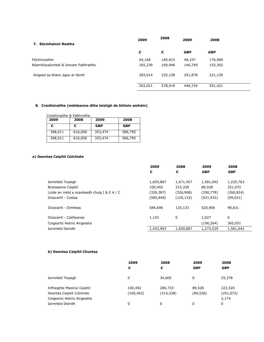| 7. Sócmhainní Reatha                 | 2009    | 2008    | 2009       | 2008       |
|--------------------------------------|---------|---------|------------|------------|
|                                      | €       | €       | <b>GBP</b> | <b>GBP</b> |
| Féichiúnaithe                        | 54,168  | 185,815 | 48,107     | 176,989    |
| Réamhíocaíochtaí & Ioncam Fabhraithe | 165,239 | 160,946 | 146,749    | 153,302    |
| Airgead sa bhanc agus ar láimh       | 283,614 | 232,158 | 251,878    | 221,130    |
|                                      | 503,021 | 578,919 | 446,734    | 551,421    |

### **8. Creidiúnaithe (méideanna dlite laistigh de bhliain amháin)**

| Creidiúnaithe & Fabhruithe |  |  |
|----------------------------|--|--|
|----------------------------|--|--|

| 2009    | 2008    | 2009       | 2008       |
|---------|---------|------------|------------|
| €       | €       | <b>GBP</b> | <b>GBP</b> |
| 398,011 | 616,058 | 353,474    | 586,795    |
| 398,011 | 616,058 | 353,474    | 586,795    |

### **a) Deontas Caipitil Cúlchiste**

|                                              | 2009       | 2008       | 2009       | 2008       |
|----------------------------------------------|------------|------------|------------|------------|
|                                              | €          | €          | <b>GBP</b> | <b>GBP</b> |
|                                              |            |            |            |            |
| Iarmhéid Tosaigh                             | 1,659,887  | 1,671,457  | 1,581,042  | 1,225,763  |
| Breiseanna Caipitil                          | 100,492    | 315,338    | 89,528     | 251,072    |
| Lúide an méid a scaoileadh chuig I & E A / C | (326, 387) | (326,908)  | (290, 778) | (260, 824) |
| Diúscairtí - Costas                          | (585, 848) | (125, 133) | (521, 932) | (99,631)   |
|                                              |            |            |            |            |
| Diúscairtí - Dímheas                         | 584,696    | 125,133    | 520,906    | 99,631     |
| Diúscairtí - Caillteanas                     | 1,153      | 0          | 1,027      | 0          |
|                                              |            |            |            |            |
| Coigeartú Aistriú Airgeadra                  |            |            | (106, 264) | 365,031    |
| Iarmhéid Deiridh                             | 1,433,993  | 1,659,887  | 1,273,529  | 1,581,042  |
|                                              |            |            |            |            |

### **b) Deontas Caipitil Chuntas**

|                                                           | 2009<br>€             | 2008<br>€             | 2009<br><b>GBP</b>  | 2008<br><b>GBP</b>    |
|-----------------------------------------------------------|-----------------------|-----------------------|---------------------|-----------------------|
| Iarmhéid Tosaigh                                          | 0                     | 34,605                | 0                   | 25,378                |
| Infhaighte Maoiniú Caipitil<br>Deontas Caipitil Cúlchiste | 100,492<br>(100, 492) | 280,733<br>(315, 338) | 89,528<br>(89, 528) | 223,520<br>(251, 072) |
| Coigeartú Aistriú Airgeadra                               |                       |                       |                     | 2,174                 |
| Iarmhéid Deiridh                                          | 0                     | 0                     | 0                   | 0                     |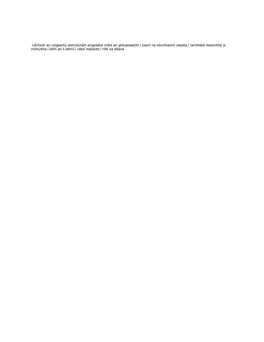Léiríonn an coigeartú aistriúcháin airgeadra méid an ghluaiseacht i luach na sócmhainní seasta / iarmhéid maoinithe is inchurtha i leith an t-athrú i rátaí malairte i rith na bliana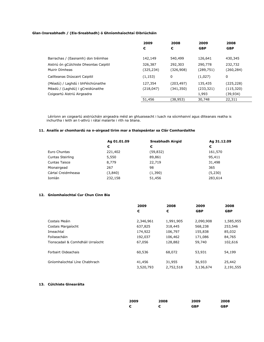### **Glan-Insreabhadh / (Eis-Sreabhadh) ó Ghníomhaíochtaí Oibriúcháin**

|                                         | 2009<br>2008 |            | 2009       | 2008       |
|-----------------------------------------|--------------|------------|------------|------------|
|                                         | €            | €          | <b>GBP</b> | <b>GBP</b> |
|                                         |              |            |            |            |
| Barrachas / (Easnamh) don tréimhse      | 142,149      | 540,499    | 126,641    | 430,345    |
| Aistriú ón gCúlchiste Dheontas Caipitil | 326,387      | 292,303    | 290,778    | 232,732    |
| Muirir Dímheas                          | (325, 234)   | (326,908)  | (289, 751) | (260, 284) |
| Caillteanas Diúscairt Caipitil          | (1, 153)     | 0          | (1,027)    | 0          |
| (Méadú) / Laghdú i bhFéichiúnaithe      | 127,354      | (203, 497) | 135,435    | (225, 228) |
| Méadú / (Laghdú) i gCreidiúnaithe       | (218, 047)   | (341, 350) | (233, 321) | (115, 320) |
| Coigeartú Aistriú Airgeadra             |              |            | 1,993      | (39,934)   |
|                                         | 51,456       | (38,953)   | 30,748     | 22,311     |

Léiríonn an coigeartú aistriúcháin airgeadra méid an ghluaiseacht i luach na sócmhainní agus dliteanais reatha is inchurtha i leith an t-athrú i rátaí malairte i rith na bliana.

### **11. Anailís ar chomhardú na n-airgead tirim mar a thaispeántar sa Clár Comhardaithe**

|                      | Ag 01.01.09 | Sreabhadh Airgid | Ag 31.12.09 |
|----------------------|-------------|------------------|-------------|
|                      | €           | €                | €           |
| Euro Chuntas         | 221,402     | (59, 832)        | 161,570     |
| Cuntas Steirling     | 5,550       | 89,861           | 95,411      |
| <b>Cuntas Taisce</b> | 8,779       | 22,719           | 31,498      |
| Mionairgead          | 267         | 98               | 365         |
| Cártaí Creidmheasa   | (3,840)     | (1,390)          | (5,230)     |
| Iomlán               | 232,158     | 51,456           | 283,614     |

### **12. Gníomhaíochtaí Cur Chun Cinn Bia**

|                                   | 2009      | 2008      | 2009       | 2008       |
|-----------------------------------|-----------|-----------|------------|------------|
|                                   | €         | €         | <b>GBP</b> | <b>GBP</b> |
| Costais Meáin                     | 2,346,961 | 1,991,905 | 2,090,908  | 1,585,955  |
| Costais Margaíocht                | 637,825   | 318,445   | 568,238    | 253,546    |
| Imeachtaí                         | 174,922   | 106,797   | 155,838    | 85,032     |
| Foilseacháin                      | 192,037   | 106,462   | 171,086    | 84,765     |
| Tionscadail & Comhdháil Urraíocht | 67,056    | 128,882   | 59,740     | 102,616    |
| Forbairt Oideachais               | 60,536    | 68,072    | 53,931     | 54,199     |
| Gníomhaíochtaí Líne Chabhrach     | 41,456    | 31,955    | 36,933     | 25,442     |
|                                   | 3,520,793 | 2,752,518 | 3,136,674  | 2,191,555  |

### **13. Cúlchiste Ginearálta**

| 2009 | 2008 | 2009       | 2008       |
|------|------|------------|------------|
| €    | €    | <b>GBP</b> | <b>GBP</b> |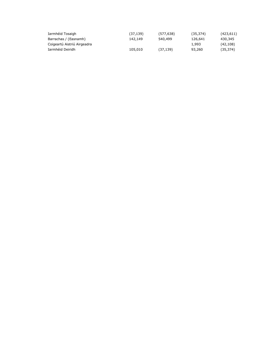| Iarmhéid Tosaigh            | (37, 139) | (577, 638) | (35, 374) | (423,611) |
|-----------------------------|-----------|------------|-----------|-----------|
| Barrachas / (Easnamh)       | 142,149   | 540,499    | 126,641   | 430,345   |
| Coigeartú Aistriú Airgeadra |           |            | 1,993     | (42,108)  |
| Iarmhéid Deiridh            | 105,010   | (37, 139)  | 93,260    | (35, 374) |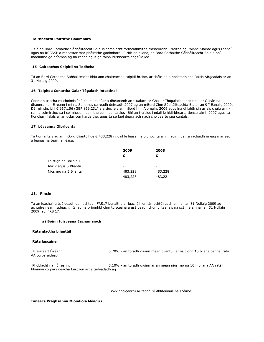#### **Idirbhearta Páirtithe Gaolmhara**

Is é an Bord Cothaithe Sábháilteacht Bhia Is comhlacht forfheidhmithe trasteorann urraithe ag Roinne Sláinte agus Leanaí agus na RSSSSP a mheastar mar pháirtithe gaolmhara. I rith na bliana, an Bord Cothaithe Sábháilteacht Bhia a bhí maoinithe go príomha ag na ranna agus go raibh idirbhearta éagsúla leo.

#### **<sup>15</sup> Caiteachas Caipitil sa Todhchaí**

Tá an Bord Cothaithe Sábháilteacht Bhia aon chaiteachas caipitil breise, ar chóir iad a nochtadh sna Ráitis Airgeadais ar an 31 Nollaig 2009.

#### **<sup>16</sup> Taighde Conartha Galar Tógálach intestinal**

Conradh tríocha mí choimisiúnú chun staidéar a dhéanamh an t-ualach ar Ghalair Thógálacha intestinal ar Oileán na dhaonra na hÉireann i mí na Samhna, cuireadh deireadh 2007 ag an mBord Cinn Sábháilteachta Bia ar an 9 <sup>ú</sup> Eanáir, 2009. Dá réir sin, bhí € 967,156 (GBP 869,231) a aisíoc leis an mBord i mí Aibreáin, 2009 agus ina dhiaidh sin ar ais chuig ár nranna coimircíochta i cóimheas maoinithe comhaontaithe. Bhí an t-aisíoc i ndáil le hidirbhearta tionscnaimh 2007 agus tá tionchar nialais ar an gclár comhardaithe, agus tá sé faoi deara ach nach choigeartú sna cuntais.

#### **17 Léasanna Oibríochta**

Tá tiomantais ag an mBord bliantúil de € 483,228 i ndáil le léasanna oibríochta ar mhaoin nuair a rachaidh in éag mar seo a leanas na téarmaí léasa:

|                       | 2009                     | 2008            |
|-----------------------|--------------------------|-----------------|
|                       | €                        | €               |
| Laistigh de Bhliain 1 | $\overline{\phantom{a}}$ | $\qquad \qquad$ |
| Idir 2 agus 5 Blianta | $\overline{\phantom{a}}$ | $\qquad \qquad$ |
| Níos mó ná 5 Blianta  | 483,228                  | 483,228         |
|                       | 483,228                  | 483,22          |

#### **18. Pinsin**

Tá an luacháil a úsáideadh do nochtadh FRS17 bunaithe ar luacháil iomlán achtúireach amhail an 31 Nollaig 2009 ag achtúire neamhspleách. Is iad na príomhbhoinn tuisceana a úsáideadh chun dliteanais na scéime amhail an 31 Nollaig 2009 faoi FRS 17:

#### **a) Boinn tuisceana Eacnamaíoch**

#### **Ráta glactha bliantúil**

#### **Ráta lascaine**

Tuaisceart Éireann: 5.70% - an toradh cruinn meán bliantúil ar os cionn 15 bliana bannaí ráta AA corparáideach.

Phoblacht na hÉireann: 5.10% - an toradh cruinn ar an meán níos mó ná 10 mbliana AA rátáil bhannaí corparáideacha Eurozón arna taifeadadh ag

iBoxx choigeartú ar feadh ré dhliteanais na scéime.

#### **Innéacs Praghsanna Miondíola Méadú i**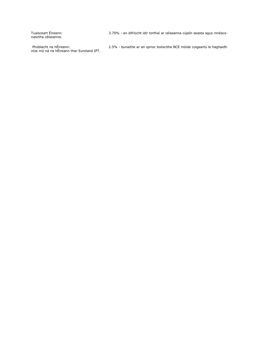Tuaisceart Éireann:<br>nasctha céiseanna.

3.70% - an difríocht idir torthaí ar céiseanna cúpón seasta agus innéacs-

Phoblacht na hÉireann:<br>níos mó ná na hÉireann thar Euroland IPT.

2.5% - bunaithe ar an sprioc boilscithe BCE móide coigeartú le haghaidh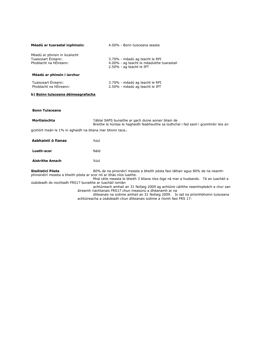| Méadú ar tuarastal inphinsin:                                                  | 4.00% - Bonn tuisceana seasta                                                                                   |
|--------------------------------------------------------------------------------|-----------------------------------------------------------------------------------------------------------------|
| Méadú ar phinsin in íocaíocht<br>Tuaisceart Éireann:<br>Phoblacht na hÉireann: | 3.70% - méadú ag teacht le RPI<br>4.00% - ag teacht le méaduithe tuarastail<br>2.50% - ag teacht le IPT         |
| Méadú ar phinsin i iarchur                                                     |                                                                                                                 |
| Tuaisceart Éireann:<br>Phoblacht na hÉireann:                                  | 3.70% - méadú ag teacht le RPI<br>2.50% - méadú ag teacht le IPT                                                |
| b) Boinn tuisceana déimeagrafacha                                              |                                                                                                                 |
|                                                                                |                                                                                                                 |
| <b>Bonn Tuisceana</b>                                                          |                                                                                                                 |
| Mortlaíochta                                                                   | Táblaí SAPS bunaithe ar gach duine aonair bliain de<br>Breithe le liúntas le haghaidh feabhsuithe sa todhchaí i |
| gcohórt meán le 1% in aghaidh na bliana mar bhonn taca.                        |                                                                                                                 |

| Asbhaintí ó fianas     | Náid |
|------------------------|------|
| Luath-scor             | Náid |
| <b>Aistrithe Amach</b> | Náid |

**Staitisticí Pósta** 80% de na pinsinéirí measta a bheith pósta faoi láthair agus 80% de na neamhphinsinéirí measta a bheith pósta ar scor nó ar bhás níos luaithe.

Mná céile measta le bheith 3 bliana níos óige ná mar a husbands. Tá an luacháil a úsáideadh do nochtadh FRS17 bunaithe ar luacháil iomlán

achtúireach amhail an 31 Nollaig 2009 ag achtúire cáilithe neamhspleách a chur san áireamh riachtanais FRS17 chun measúnú a dhéanamh ar na

fad saoil i gcomhréir leis an

dliteanais na scéime amhail an 31 Nollaig 2009. Is iad na príomhbhoinn tuisceana achtúireacha a úsáideadh chun dliteanais scéime a ríomh faoi FRS 17: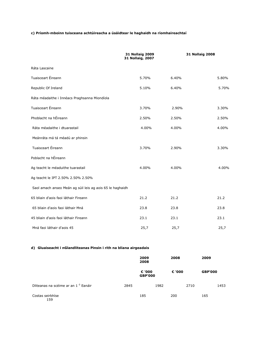### **c) Príomh-mboinn tuisceana achtúireacha a úsáidtear le haghaidh na ríomhaireachtaí**

|                                                           | <b>31 Nollaig 2009</b><br>31 Nollaig, 2007 |       | <b>31 Nollaig 2008</b> |  |  |
|-----------------------------------------------------------|--------------------------------------------|-------|------------------------|--|--|
| Ráta Lascaine                                             |                                            |       |                        |  |  |
| Tuaisceart Éireann                                        | 5.70%                                      | 6.40% | 5.80%                  |  |  |
| Republic Of Ireland                                       | 5.10%                                      | 6.40% | 5.70%                  |  |  |
| Ráta méadaithe i Innéacs Praghsanna Miondíola             |                                            |       |                        |  |  |
| Tuaisceart Éireann                                        | 3.70%                                      | 2.90% | 3.30%                  |  |  |
| Phoblacht na hÉireann                                     | 2.50%                                      | 2.50% | 2.50%                  |  |  |
| Ráta méadaithe i dtuarastail                              | 4.00%                                      | 4.00% | 4.00%                  |  |  |
| Meánráta má tá méadú ar phinsin                           |                                            |       |                        |  |  |
| Tuaisceart Éireann                                        | 3.70%                                      | 2.90% | 3.30%                  |  |  |
| Poblacht na hÉireann                                      |                                            |       |                        |  |  |
| Ag teacht le méaduithe tuarastail                         | 4.00%                                      | 4.00% | 4.00%                  |  |  |
| Ag teacht le IPT 2.50% 2.50% 2.50%                        |                                            |       |                        |  |  |
| Saol amach anseo Meán ag súil leis ag aois 65 le haghaidh |                                            |       |                        |  |  |
| 65 bliain d'aois faoi láthair Fireann                     | 21.2                                       | 21.2  | 21.2                   |  |  |
| 65 bliain d'aois faoi láthair Mná                         | 23.8                                       | 23.8  | 23.8                   |  |  |
| 45 bliain d'aois faoi láthair Fireann                     | 23.1                                       | 23.1  | 23.1                   |  |  |
| Mná faoi láthair d'aois 45                                | 25,7                                       | 25,7  | 25,7                   |  |  |

### **d) Gluaiseacht i nGlandliteanas Pinsin i rith na bliana airgeadais**

|                                                 |      | 2009<br>2008             |        | 2008 |                | 2009 |      |  |
|-------------------------------------------------|------|--------------------------|--------|------|----------------|------|------|--|
|                                                 |      | € '000<br><b>GBP'000</b> | € '000 |      | <b>GBP'000</b> |      |      |  |
| Dliteanas na scéime ar an 1 <sup>ú</sup> Eanáir | 2845 |                          | 1982   |      | 2710           |      | 1453 |  |
| Costas seirbhíse<br>159                         |      | 185                      |        | 200  |                | 165  |      |  |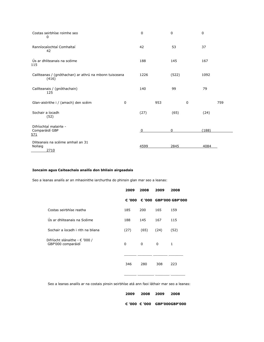| Costas seirbhíse roimhe seo<br>0                                |   | 0    |     | 0     |   | 0     |     |
|-----------------------------------------------------------------|---|------|-----|-------|---|-------|-----|
| Ranníocaíochtaí Comhaltaí<br>42                                 |   | 42   |     | 53    |   | 37    |     |
| Ús ar dhliteanais na scéime<br>115                              |   | 188  |     | 145   |   | 167   |     |
| Caillteanas / (gnóthachan) ar athrú na mbonn tuisceana<br>(416) |   | 1226 |     | (522) |   | 1092  |     |
| Caillteanais / (gnóthachain)<br>125                             |   | 140  |     | 99    |   | 79    |     |
| Glan-aistrithe i / (amach) den scéim                            | 0 |      | 953 |       | 0 |       | 759 |
| Sochair a íocadh<br>(52)                                        |   | (27) |     | (65)  |   | (24)  |     |
| Difríochtaí malairte -<br>Comparáidí GBP<br><u>571</u>          |   | 0    |     | 0     |   | (188) |     |
| Dliteanais na scéime amhail an 31<br>Nollaig<br>2710            |   | 4599 |     | 2845  |   | 4084  |     |

### **Ioncaim agus Caiteachais anailís don bhliain airgeadais**

Seo a leanas anailís ar an mhaoinithe iarchurtha do phinsin glan mar seo a leanas:

|                                                      | 2009   | 2008 | 2009 | 2008                   |
|------------------------------------------------------|--------|------|------|------------------------|
|                                                      | € '000 |      |      | € '000 GBP'000 GBP'000 |
| Costas seirbhíse reatha                              | 185    | 200  | 165  | 159                    |
| Ús ar dhliteanais na Scéime                          | 188    | 145  | 167  | 115                    |
| Sochair a íocadh i rith na bliana                    | (27)   | (65) | (24) | (52)                   |
| Difríocht slánaithe - € '000 /<br>GBP'000 comparáidí | 0      | 0    | 0    | 1                      |
|                                                      | 346    | 280  | 308  | 223                    |

Seo a leanas anailís ar na costais pinsin seirbhíse atá ann faoi láthair mar seo a leanas:

| 2009 | 2008 2009 2008 |                                       |
|------|----------------|---------------------------------------|
|      |                | € '000 $\epsilon$ '000 GBP'000GBP'000 |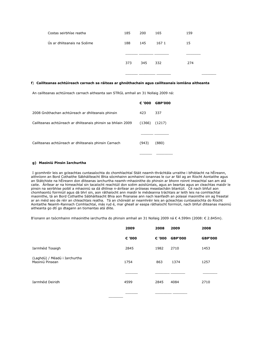| Costas seirbhíse reatha     | 185 | 200 | 165   | 159 |
|-----------------------------|-----|-----|-------|-----|
| Ús ar dhliteanais na Scéime | 188 | 145 | 167 1 | 15  |
|                             | 373 | 345 | 332   | 274 |
|                             |     |     |       |     |

### **<sup>f</sup>**) **Caillteanas achtúireach carnach sa ráiteas ar ghnóthachain agus caillteanais iomlána aitheanta**

An caillteanas achtúireach carnach aitheanta san STRGL amhail an 31 Nollaig 2009 ná:

|                                                                | € '000 | <b>GBP'000</b> |
|----------------------------------------------------------------|--------|----------------|
| 2008 Gnóthachan achtúireach ar dhliteanais phinsin             | 423    | 337            |
| Caillteanas achtúireach ar dhliteanais phinsin sa bhliain 2009 | (1366) | (1217)         |
| Caillteanas achtúireach ar dhliteanais phinsin Carnach         | (943)  | (880)          |

### **g) Maoiniú Pinsin Iarchurtha**

I gcomhréir leis an gcleachtas cuntasaíochta do chomhlachtaí Stáit neamh-thráchtála urraithe i bPoblacht na hÉireann, aithníonn an Bord Cothaithe Sábháilteacht Bhia sócmhainn acmhainní ionannas le cur ar fáil ag an Ríocht Aontaithe agus an Státchiste na hÉireann don dliteanas iarchurtha neamh-mhaoinithe do phinsin ar bhonn roinnt imeachtaí san am atá caite. Áirítear ar na himeachtaí sin tacaíocht reachtúil don scéim aoisliúntais, agus an beartas agus an cleachtas maidir le pinsin na seirbhíse poiblí a mhaoiniú sa dá dhlínse n-áirítear an próiseas meastacháin bliantúil. Cé nach bhfuil aon chomhaontú foirmiúil agus dá bhrí sin, aon ráthaíocht ann maidir le méideanna tráchtais ar leith leis na comhlachtaí maoinithe, tá an Bord Cothaithe Sábháilteacht Bhia aon fhianaise ann nach leanfaidh an polasaí maoinithe sin ag freastal ar an méid seo de réir an chleachtais reatha. Tá an chóireáil ar neamhréir leis an gcleachtas cuntasaíochta do Ríocht Aontaithe Neamh-Rannach Comhlachtaí, más rud é, mar gheall ar easpa ráthaíocht foirmiúil, nach bhfuil dliteanas maoiniú aitheanta go dtí go dtagann an tiomantas atá dlite.

B'ionann an tsócmhainn mhaoinithe iarchurtha do phinsin amhail an 31 Nollaig 2009 ná € 4.599m (2008: € 2.845m).

|                                                  | 2009   | 2008   | 2009           | 2008           |
|--------------------------------------------------|--------|--------|----------------|----------------|
|                                                  | € '000 | € '000 | <b>GBP'000</b> | <b>GBP'000</b> |
| Iarmhéid Tosaigh                                 | 2845   | 1982   | 2710           | 1453           |
| (Laghdú) / Méadú i Iarchurtha<br>Maoiniú Pinsean | 1754   | 863    | 1374           | 1257           |
|                                                  |        |        |                |                |
| Iarmhéid Deiridh                                 | 4599   | 2845   | 4084           | 2710           |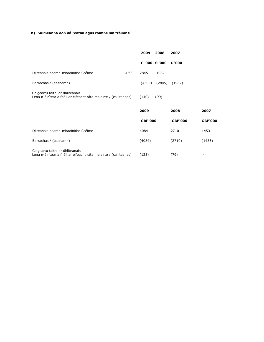### **h) Suimeanna don dá reatha agus roimhe sin tréimhsí**

|                                                                                                      |      | 2009           | 2008                 | 2007           |                |
|------------------------------------------------------------------------------------------------------|------|----------------|----------------------|----------------|----------------|
|                                                                                                      |      |                | € '000 € '000 € '000 |                |                |
| Dliteanais neamh-mhaoinithe Scéime                                                                   | 4599 | 2845           | 1982                 |                |                |
| Barrachas / (easnamh)                                                                                |      | (4599)         | (2845)               | (1982)         |                |
| Coigeartú taithí ar dhliteanais<br>Lena n-áirítear a fháil ar éifeacht ráta malairte / (caillteanas) |      | (140)          | (99)                 |                |                |
|                                                                                                      |      | 2009           |                      | 2008           | 2007           |
|                                                                                                      |      | <b>GBP'000</b> |                      | <b>GBP'000</b> | <b>GBP'000</b> |
| Dliteanais neamh-mhaoinithe Scéime                                                                   |      | 4084           |                      | 2710           | 1453           |
| Barrachas / (easnamh)                                                                                |      | (4084)         |                      | (2710)         | (1453)         |
| Coigeartú taithí ar dhliteanais<br>Lena n-áirítear a fháil ar éifeacht ráta malairte / (caillteanas) |      | (125)          |                      | (79)           |                |